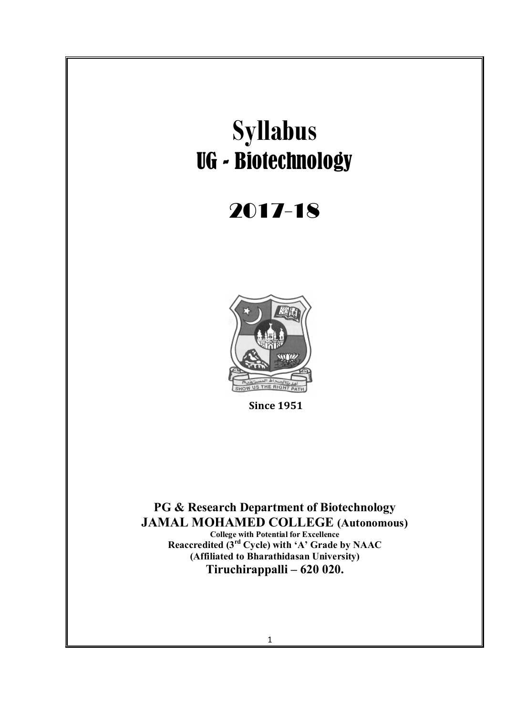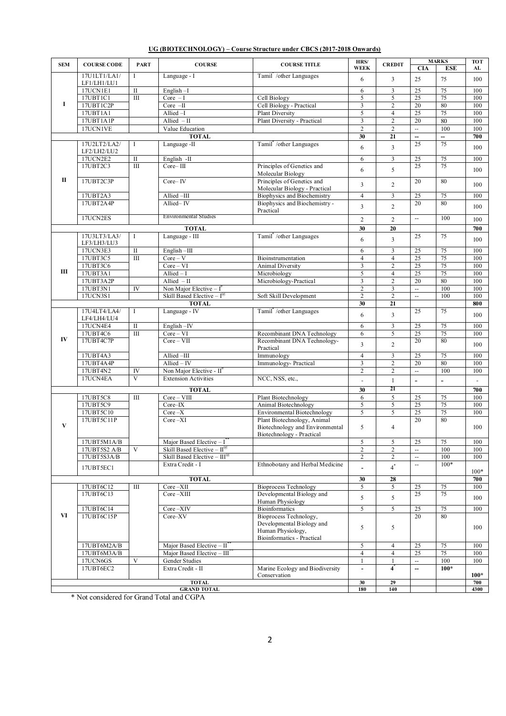|--|

| <b>SEM</b>         | <b>COURSE CODE</b>      | <b>PART</b>             | <b>COURSE</b>                                                             | <b>COURSE TITLE</b>                                 | HRS/                                      | <b>CREDIT</b>                         |                                | <b>MARKS</b>   | <b>TOT</b> |
|--------------------|-------------------------|-------------------------|---------------------------------------------------------------------------|-----------------------------------------------------|-------------------------------------------|---------------------------------------|--------------------------------|----------------|------------|
|                    | 17U1LT1/LA1/            | T                       |                                                                           |                                                     | <b>WEEK</b>                               |                                       | <b>CIA</b>                     | <b>ESE</b>     | AL         |
|                    | LF1/LH1/LU1             |                         | Language - I                                                              | Tamil / other Languages                             | 6                                         | 3                                     | 25                             | 75             | 100        |
|                    | 17UCN1E1                | $\rm II$                | English-I                                                                 |                                                     | 6                                         | $\overline{\mathbf{3}}$               | 25                             | 75             | 100        |
|                    | 17UBT1C1                | $\overline{m}$          | $Core - I$                                                                | Cell Biology                                        | 5                                         | 5                                     | 25                             | 75             | 100        |
| I                  | 17UBT1C2P               |                         | $Core - II$                                                               | Cell Biology - Practical                            | $\overline{3}$                            | $\overline{2}$                        | 20                             | 80             | 100        |
|                    | 17UBT1A1                |                         | Allied-I                                                                  | <b>Plant Diversity</b>                              | 5                                         | $\overline{4}$                        | $\overline{25}$                | 75             | 100        |
|                    | 17UBT1A1P               |                         | Allied $-II$                                                              | Plant Diversity - Practical                         | 3                                         | $\overline{2}$                        | 20                             | 80             | 100        |
|                    | 17UCN1VE                |                         | Value Education                                                           |                                                     | $\overline{2}$                            | $\overline{2}$                        | $\overline{\phantom{a}}$       | 100            | 100        |
|                    |                         |                         | <b>TOTAL</b>                                                              |                                                     | 30                                        | 21                                    | --                             | --             | 700        |
|                    | 17U2LT2/LA2/            | Ι.                      | Language -II                                                              | Tamil / other Languages                             | 6                                         | $\overline{\mathbf{3}}$               | 25                             | 75             | 100        |
|                    | LF2/LH2/LU2             |                         |                                                                           |                                                     |                                           |                                       |                                |                |            |
|                    | 17UCN2E2<br>17UBT2C3    | $\mathbf{I}$<br>III     | English -II<br>$Core-III$                                                 | Principles of Genetics and                          | 6                                         | 3                                     | 25<br>25                       | 75<br>75       | 100        |
|                    |                         |                         |                                                                           | Molecular Biology                                   | 6                                         | 5                                     |                                |                | 100        |
| $\mathbf{I}$       | 17UBT2C3P               |                         | $Core-IV$                                                                 | Principles of Genetics and                          |                                           |                                       | 20                             | 80             |            |
|                    |                         |                         |                                                                           | Molecular Biology - Practical                       | $\overline{3}$                            | $\sqrt{2}$                            |                                |                | 100        |
|                    | 17UBT2A3                |                         | Allied-III                                                                | Biophysics and Biochemistry                         | $\overline{4}$                            | $\overline{\mathbf{3}}$               | 25                             | 75             | 100        |
|                    | 17UBT2A4P               |                         | Allied-IV                                                                 | Biophysics and Biochemistry -                       | $\overline{3}$                            | $\overline{c}$                        | 20                             | 80             | 100        |
|                    |                         |                         |                                                                           | Practical                                           |                                           |                                       |                                |                |            |
|                    | 17UCN2ES                |                         | <b>Environmental Studies</b>                                              |                                                     | $\overline{2}$                            | $\overline{c}$                        | $\overline{a}$                 | 100            | 100        |
|                    |                         |                         | <b>TOTAL</b>                                                              |                                                     | 30                                        | 20                                    |                                |                | 700        |
|                    | 17U3LT3/LA3/            | $\bf{I}$                | Language - III                                                            | Tamil <sup>*</sup> /other Languages                 | 6                                         | $\overline{\mathbf{3}}$               | 25                             | 75             |            |
|                    | LF3/LH3/LU3             |                         |                                                                           |                                                     |                                           |                                       |                                |                | 100        |
|                    | 17UCN3E3                | $\mathbf{I}$            | English-III                                                               |                                                     | 6                                         | 3                                     | $\overline{25}$                | 75             | 100        |
|                    | 17UBT3C5                | $\mathbf{III}$          | $Core - V$                                                                | Bioinstrumentation                                  | $\overline{4}$                            | $\overline{4}$                        | 25                             | 75             | 100        |
| Ш                  | 17UBT3C6                |                         | $Core-VI$                                                                 | Animal Diversity                                    | $\mathfrak{Z}$                            | $\sqrt{2}$                            | 25                             | 75             | 100        |
|                    | 17UBT3A1                |                         | $Allied - I$                                                              | Microbiology                                        | 5                                         | $\overline{4}$                        | $\overline{25}$                | 75             | 100        |
|                    | 17UBT3A2P<br>17UBT3N1   | IV                      | Allied $-II$                                                              | Microbiology-Practical                              | 3<br>$\overline{2}$                       | $\sqrt{2}$<br>$\overline{\mathbf{3}}$ | 20<br>$\overline{a}$           | 80<br>100      | 100<br>100 |
|                    | 17UCN3S1                |                         | Non Major Elective – $I^{\dagger}$<br>Skill Based Elective - $I^{\omega}$ | Soft Skill Development                              | $\overline{2}$                            | $\overline{c}$                        | $\overline{\phantom{a}}$       | 100            | 100        |
|                    |                         |                         | <b>TOTAL</b>                                                              |                                                     | 30                                        | 21                                    |                                |                | 800        |
|                    | 17U4LT4/LA4/            | $\bf{I}$                | Language - IV                                                             | Tamil / other Languages                             |                                           |                                       | 25                             | 75             |            |
|                    | LF4/LH4/LU4             |                         |                                                                           |                                                     | 6                                         | $\overline{\mathbf{3}}$               |                                |                | 100        |
|                    | 17UCN4E4                | $\overline{\mathbf{u}}$ | English-IV                                                                |                                                     | 6                                         | $\mathfrak{Z}$                        | 25                             | 75             | 100        |
|                    | 17UBT4C6                | $\overline{III}$        | $Core-VI$                                                                 | Recombinant DNA Technology                          | 6                                         | 5                                     | $\overline{25}$                | 75             | 100        |
| IV                 | 17UBT4C7P               |                         | $Core-VII$                                                                | Recombinant DNA Technology-                         | $\overline{3}$                            | $\overline{c}$                        | 20                             | 80             | 100        |
|                    |                         |                         |                                                                           | Practical                                           |                                           |                                       |                                |                |            |
|                    | 17UBT4A3                |                         | Allied -III<br>$Allied - IV$                                              | Immunology                                          | $\overline{4}$                            | $\overline{\mathbf{3}}$               | 25                             | 75<br>80       | 100        |
|                    | 17UBT4A4P<br>17UBT4N2   | IV                      | Non Major Elective - $II^*$                                               | Immunology- Practical                               | $\overline{\mathbf{3}}$<br>$\overline{2}$ | $\sqrt{2}$<br>$\overline{2}$          | 20<br>$\overline{\phantom{a}}$ | 100            | 100<br>100 |
|                    | 17UCN4EA                | $\overline{\mathbf{V}}$ | <b>Extension Activities</b>                                               | NCC, NSS, etc.,                                     |                                           |                                       |                                |                |            |
|                    |                         |                         |                                                                           |                                                     |                                           | $\mathbf{1}$                          | $\overline{a}$                 | $\overline{a}$ |            |
|                    |                         |                         | <b>TOTAL</b>                                                              |                                                     | 30                                        | 21                                    |                                |                | 700        |
|                    | 17UBT5C8                | $\rm III$               | $Core-VIII$                                                               | Plant Biotechnology                                 | 6                                         | 5                                     | 25                             | 75             | 100        |
|                    | 17UBT5C9<br>17UBT5C10   |                         | $Core-IX$<br>$Core-X$                                                     | Animal Biotechnology<br>Environmental Biotechnology | 5<br>5                                    | 5<br>5                                | 25<br>25                       | 75<br>75       | 100<br>100 |
|                    | 17UBT5C11P              |                         | $Core-XI$                                                                 | Plant Biotechnology, Animal                         |                                           |                                       | 20                             | 80             |            |
| V                  |                         |                         |                                                                           | Biotechnology and Environmental                     | 5                                         | $\overline{4}$                        |                                |                | 100        |
|                    |                         |                         |                                                                           | Biotechnology - Practical                           |                                           |                                       |                                |                |            |
|                    | 17UBT5M1A/B             |                         | Major Based Elective $-I^*$                                               |                                                     | 5                                         | 5                                     | 25                             | 75             | 100        |
|                    | 17UBT5S2 A/B            | V                       | Skill Based Elective - $II^{(a)}$                                         |                                                     | $\overline{2}$                            | $\overline{2}$                        | $\overline{\phantom{a}}$       | 100            | 100        |
|                    | 17UBT5S3A/B             |                         | Skill Based Elective - $III^{@}$                                          |                                                     | $\overline{2}$                            | $\overline{c}$                        | $\overline{\phantom{a}}$       | 100            | 100        |
|                    | 17UBT5EC1               |                         | Extra Credit - I                                                          | Ethnobotany and Herbal Medicine                     |                                           | $4^*$                                 | $\overline{\phantom{a}}$       | $100*$         |            |
|                    |                         |                         |                                                                           |                                                     |                                           |                                       |                                |                | $100*$     |
|                    | 17UBT6C12               | Ш                       | <b>TOTAL</b><br>$Core-XII$                                                | <b>Bioprocess Technology</b>                        | 30<br>5                                   | 28<br>5                               | 25                             | 75             | 700<br>100 |
|                    | 17UBT6C13               |                         | Core-XIII                                                                 | Developmental Biology and                           |                                           |                                       | 25                             | 75             |            |
|                    |                         |                         |                                                                           | Human Physiology                                    | 5                                         | 5                                     |                                |                | 100        |
|                    | 17UBT6C14               |                         | Core-XIV                                                                  | <b>Bioinformatics</b>                               | 5                                         | 5                                     | 25                             | 75             | 100        |
| VI                 | 17UBT6C15P              |                         | Core-XV                                                                   | Bioprocess Technology,                              |                                           |                                       | 20                             | 80             |            |
|                    |                         |                         |                                                                           | Developmental Biology and                           | 5                                         | 5                                     |                                |                | 100        |
|                    |                         |                         |                                                                           | Human Physiology,                                   |                                           |                                       |                                |                |            |
|                    |                         |                         |                                                                           | <b>Bioinformatics - Practical</b>                   |                                           |                                       |                                |                |            |
|                    | 17UBT6M2A/B             |                         | Major Based Elective $-II^*$                                              |                                                     | 5                                         | $\overline{4}$                        | $\overline{25}$                | 75             | 100        |
|                    | 17UBT6M3A/B<br>17UCN6GS | V                       | Major Based Elective $-III$ <sup>*</sup><br>Gender Studies                |                                                     | $\overline{4}$                            | $\overline{4}$                        | 25                             | 75<br>100      | 100<br>100 |
|                    | 17UBT6EC2               |                         | Extra Credit - II                                                         | Marine Ecology and Biodiversity                     | $\overline{a}$                            | $\boldsymbol{4}^*$                    | $\overline{\phantom{a}}$<br>÷. | $100*$         |            |
|                    |                         |                         |                                                                           | Conservation                                        |                                           |                                       |                                |                | $100*$     |
|                    |                         |                         | <b>TOTAL</b>                                                              |                                                     | 30                                        | 29                                    |                                |                | 700        |
| <b>GRAND TOTAL</b> |                         |                         |                                                                           |                                                     | 180                                       | 140                                   |                                |                | 4300       |

\* Not considered for Grand Total and CGPA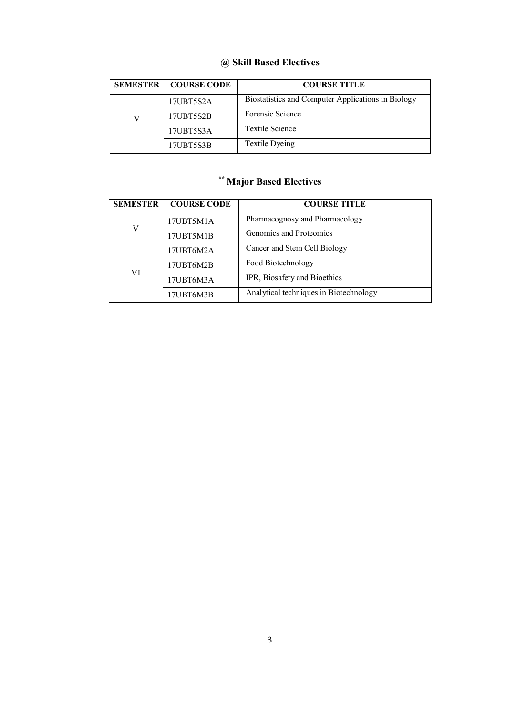### **@ Skill Based Electives**

| <b>SEMESTER</b> | <b>COURSE CODE</b> | <b>COURSE TITLE</b>                                |
|-----------------|--------------------|----------------------------------------------------|
|                 | 17UBT5S2A          | Biostatistics and Computer Applications in Biology |
| V               | 17UBT5S2B          | Forensic Science                                   |
|                 | 17UBT5S3A          | <b>Textile Science</b>                             |
|                 | 17UBT5S3B          | Textile Dyeing                                     |

# **\*\* Major Based Electives**

| <b>SEMESTER</b> | <b>COURSE CODE</b> | <b>COURSE TITLE</b>                    |
|-----------------|--------------------|----------------------------------------|
| V               | 17UBT5M1A          | Pharmacognosy and Pharmacology         |
|                 | 17UBT5M1B          | Genomics and Proteomics                |
|                 | 17UBT6M2A          | Cancer and Stem Cell Biology           |
| VI              | 17UBT6M2B          | Food Biotechnology                     |
|                 | 17UBT6M3A          | IPR, Biosafety and Bioethics           |
|                 | 17UBT6M3B          | Analytical techniques in Biotechnology |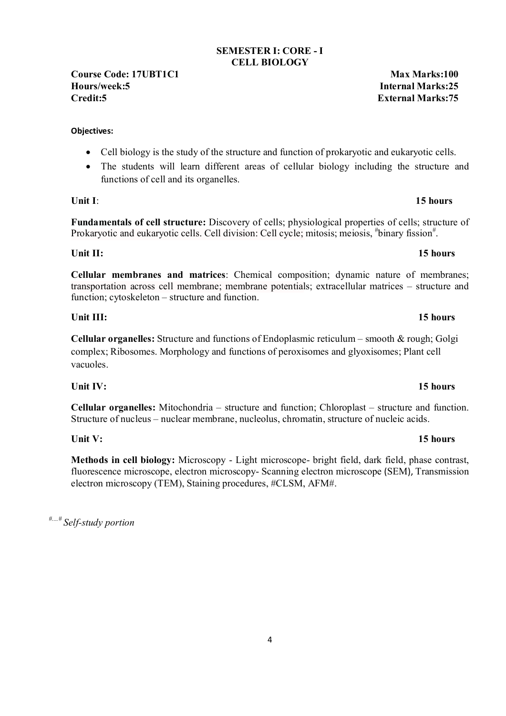#### **SEMESTER I: CORE - I CELL BIOLOGY**

**Course Code:** 17UBT1C1 **Max Marks:100 Hours/week:5 Internal Marks:25 Credit:5 External Marks:75**

#### **Objectives:**

- Cell biology is the study of the structure and function of prokaryotic and eukaryotic cells.
- The students will learn different areas of cellular biology including the structure and functions of cell and its organelles.

**Fundamentals of cell structure:** Discovery of cells; physiological properties of cells; structure of Prokaryotic and eukaryotic cells. Cell division: Cell cycle; mitosis; meiosis, "binary fission".

**Unit II:** 15 hours

**Cellular membranes and matrices**: Chemical composition; dynamic nature of membranes; transportation across cell membrane; membrane potentials; extracellular matrices – structure and function; cytoskeleton – structure and function.

### **Unit III:** 15 hours

**Cellular organelles:** Structure and functions of Endoplasmic reticulum – smooth & rough; Golgi complex; Ribosomes. Morphology and functions of peroxisomes and glyoxisomes; Plant cell vacuoles.

**Unit IV: 15 hours**

**Cellular organelles:** Mitochondria – structure and function; Chloroplast – structure and function. Structure of nucleus – nuclear membrane, nucleolus, chromatin, structure of nucleic acids.

**Unit V: 15 hours**

**Methods in cell biology:** Microscopy - Light microscope- bright field, dark field, phase contrast, fluorescence microscope, electron microscopy- Scanning electron microscope (SEM), Transmission electron microscopy (TEM), Staining procedures, #CLSM, AFM#.

*#....# Self-study portion* 

# **Unit I**: **15 hours**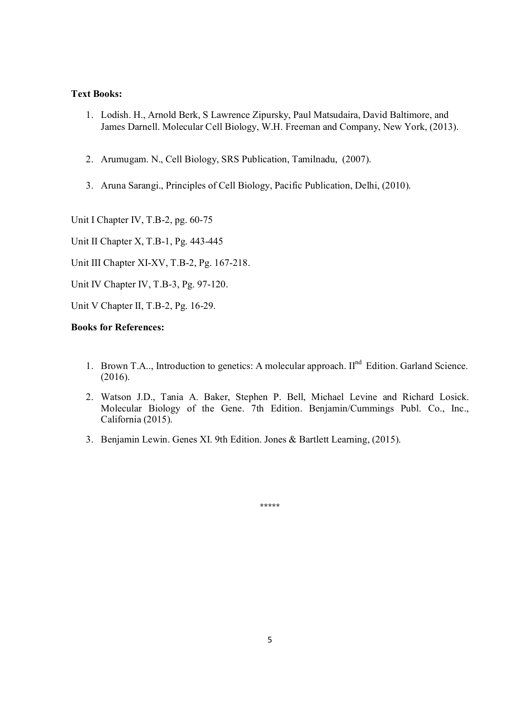- 1. Lodish. H., Arnold Berk, S Lawrence Zipursky, Paul Matsudaira, David Baltimore, and James Darnell. Molecular Cell Biology, W.H. Freeman and Company, New York, (2013).
- 2. Arumugam. N., Cell Biology, SRS Publication, Tamilnadu, (2007).
- 3. Aruna Sarangi., Principles of Cell Biology, Pacific Publication, Delhi, (2010).

Unit I Chapter IV, T.B-2, pg. 60-75

Unit II Chapter X, T.B-1, Pg. 443-445

Unit III Chapter XI-XV, T.B-2, Pg. 167-218.

Unit IV Chapter IV, T.B-3, Pg. 97-120.

Unit V Chapter II, T.B-2, Pg. 16-29.

#### **Books for References:**

- 1. Brown T.A.., Introduction to genetics: A molecular approach. II<sup>nd</sup> Edition. Garland Science. (2016).
- 2. Watson J.D., Tania A. Baker, Stephen P. Bell, Michael Levine and Richard Losick. Molecular Biology of the Gene. 7th Edition. Benjamin/Cummings Publ. Co., Inc., California (2015).
- 3. Benjamin Lewin. Genes XI. 9th Edition. Jones & Bartlett Learning, (2015).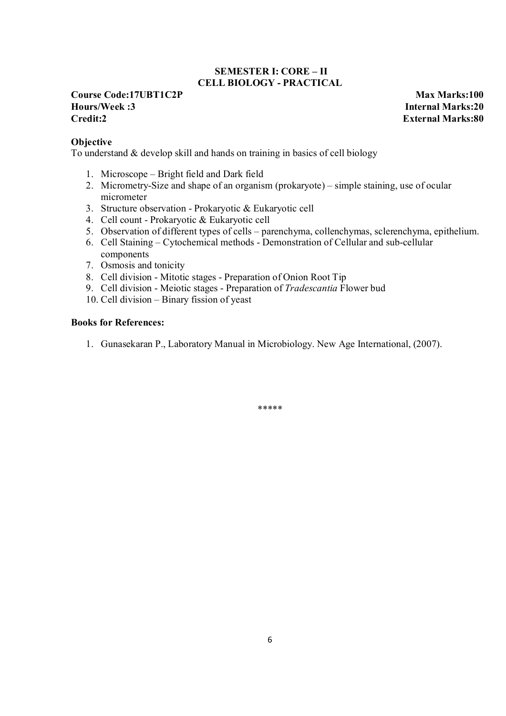### **SEMESTER I: CORE – II CELL BIOLOGY - PRACTICAL**

#### **Course Code:17UBT1C2P Max Marks:100 Hours/Week :3 Internal Marks:20 Credit:2 External Marks:80**

**Objective**

To understand & develop skill and hands on training in basics of cell biology

- 1. Microscope Bright field and Dark field
- 2. Micrometry-Size and shape of an organism (prokaryote) simple staining, use of ocular micrometer
- 3. Structure observation Prokaryotic & Eukaryotic cell
- 4. Cell count Prokaryotic & Eukaryotic cell
- 5. Observation of different types of cells parenchyma, collenchymas, sclerenchyma, epithelium.
- 6. Cell Staining Cytochemical methods Demonstration of Cellular and sub-cellular components
- 7. Osmosis and tonicity
- 8. Cell division Mitotic stages Preparation of Onion Root Tip
- 9. Cell division Meiotic stages Preparation of *Tradescantia* Flower bud
- 10. Cell division Binary fission of yeast

### **Books for References:**

1. Gunasekaran P., Laboratory Manual in Microbiology. New Age International, (2007).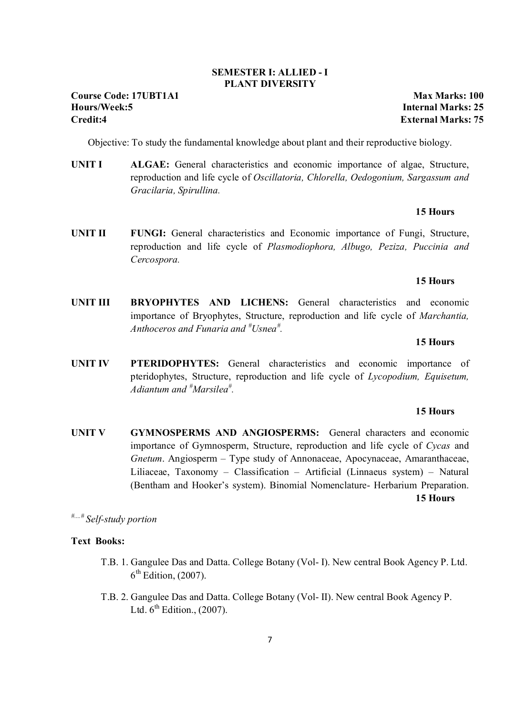### 7

#### **SEMESTER I: ALLIED - I PLANT DIVERSITY**

Objective: To study the fundamental knowledge about plant and their reproductive biology.

**UNIT I ALGAE:** General characteristics and economic importance of algae, Structure, reproduction and life cycle of *Oscillatoria, Chlorella, Oedogonium, Sargassum and Gracilaria, Spirullina.* 

#### **15 Hours**

**UNIT II** FUNGI: General characteristics and Economic importance of Fungi, Structure, reproduction and life cycle of *Plasmodiophora, Albugo, Peziza, Puccinia and Cercospora.* 

#### **15 Hours**

**UNIT III BRYOPHYTES AND LICHENS:** General characteristics and economic importance of Bryophytes, Structure, reproduction and life cycle of *Marchantia, Anthoceros and Funaria and # Usnea# .* 

#### **15 Hours**

**UNIT IV PTERIDOPHYTES:** General characteristics and economic importance of pteridophytes, Structure, reproduction and life cycle of *Lycopodium, Equisetum, Adiantum and # Marsilea# .* 

#### **15 Hours**

**UNIT V GYMNOSPERMS AND ANGIOSPERMS:** General characters and economic importance of Gymnosperm, Structure, reproduction and life cycle of *Cycas* and *Gnetum*. Angiosperm – Type study of Annonaceae, Apocynaceae, Amaranthaceae, Liliaceae, Taxonomy – Classification – Artificial (Linnaeus system) – Natural (Bentham and Hooker's system). Binomial Nomenclature- Herbarium Preparation. **15 Hours** 

*#....# Self-study portion* 

#### **Text Books:**

- T.B. 1. Gangulee Das and Datta. College Botany (Vol- I). New central Book Agency P. Ltd.  $6<sup>th</sup>$  Edition, (2007).
- T.B. 2. Gangulee Das and Datta. College Botany (Vol- II). New central Book Agency P. Ltd.  $6^{th}$  Edition., (2007).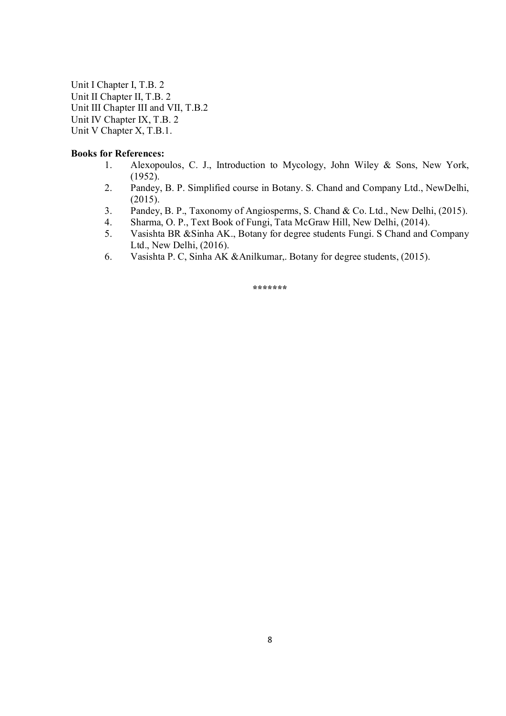Unit I Chapter I, T.B. 2 Unit II Chapter II, T.B. 2 Unit III Chapter III and VII, T.B.2 Unit IV Chapter IX, T.B. 2 Unit V Chapter X, T.B.1.

#### **Books for References:**

- 1. Alexopoulos, C. J., Introduction to Mycology, John Wiley & Sons, New York, (1952).
- 2. Pandey, B. P. Simplified course in Botany. S. Chand and Company Ltd., NewDelhi, (2015).
- 3. Pandey, B. P., Taxonomy of Angiosperms, S. Chand & Co. Ltd., New Delhi, (2015).
- 4. Sharma, O. P., Text Book of Fungi, Tata McGraw Hill, New Delhi, (2014).<br>5. Vasishta BR & Sinha AK.. Botany for degree students Fungi. S Chand and 0
- Vasishta BR &Sinha AK., Botany for degree students Fungi. S Chand and Company Ltd., New Delhi, (2016).
- 6. Vasishta P. C, Sinha AK &Anilkumar,. Botany for degree students, (2015).

**\*\*\*\*\*\*\***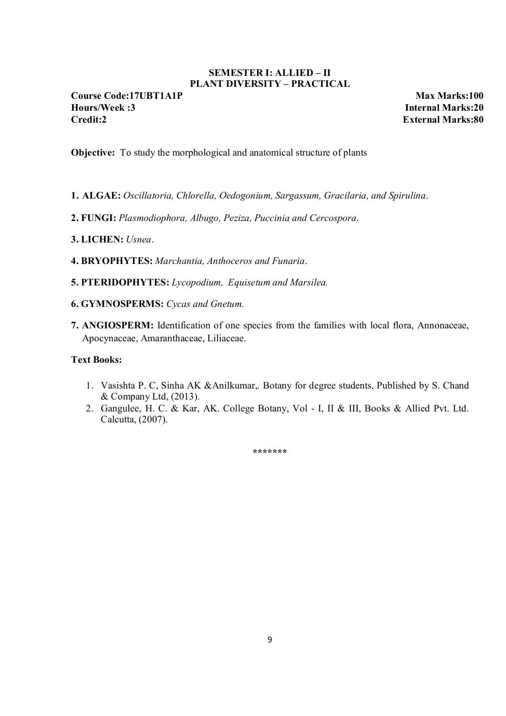### **SEMESTER I: ALLIED – II PLANT DIVERSITY – PRACTICAL**

**Course Code:17UBT1A1P Max Marks:100 Hours/Week :3 Internal Marks:20 Credit:2 External Marks:80**

**Objective:** To study the morphological and anatomical structure of plants

- **1. ALGAE:** *Oscillatoria, Chlorella, Oedogonium, Sargassum, Gracilaria, and Spirulina*.
- **2. FUNGI:** *Plasmodiophora, Albugo, Peziza, Puccinia and Cercospora*.
- **3. LICHEN:** *Usnea*.
- **4. BRYOPHYTES:** *Marchantia, Anthoceros and Funaria*.
- **5. PTERIDOPHYTES:** *Lycopodium, Equisetum and Marsilea.*
- **6. GYMNOSPERMS:** *Cycas and Gnetum.*
- **7. ANGIOSPERM:** Identification of one species from the families with local flora, Annonaceae, Apocynaceae, Amaranthaceae, Liliaceae.

#### **Text Books:**

- 1. Vasishta P. C, Sinha AK &Anilkumar,. Botany for degree students, Published by S. Chand & Company Ltd, (2013).
- 2. Gangulee, H. C. & Kar, AK. College Botany, Vol I, II & III, Books & Allied Pvt. Ltd. Calcutta, (2007).

**\*\*\*\*\*\*\***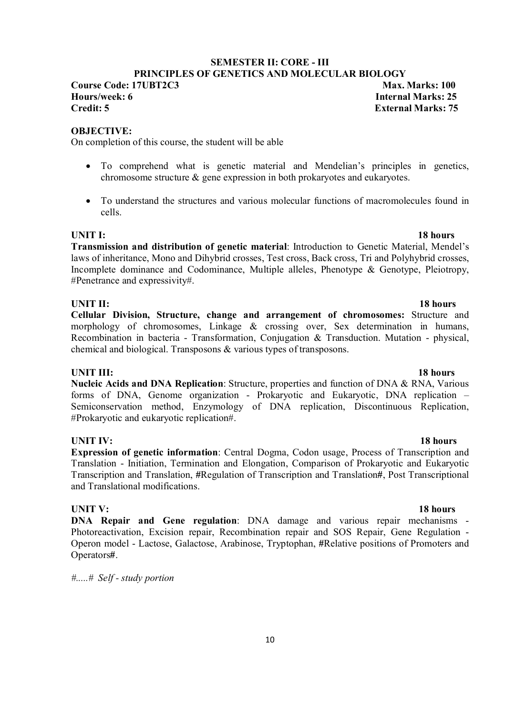### **SEMESTER II: CORE - III**

**PRINCIPLES OF GENETICS AND MOLECULAR BIOLOGY** 

**Course Code: 17UBT2C3** Max. Marks: 100 **Hours/week: 6 Internal Marks: 25<br>Credit: 5 Internal Marks: 25<br>External Marks: 75** 

**OBJECTIVE:** 

On completion of this course, the student will be able

- To comprehend what is genetic material and Mendelian's principles in genetics, chromosome structure & gene expression in both prokaryotes and eukaryotes.
- To understand the structures and various molecular functions of macromolecules found in cells.

**UNIT I:** 18 hours **Transmission and distribution of genetic material**: Introduction to Genetic Material, Mendel's laws of inheritance, Mono and Dihybrid crosses, Test cross, Back cross, Tri and Polyhybrid crosses, Incomplete dominance and Codominance, Multiple alleles, Phenotype & Genotype, Pleiotropy, #Penetrance and expressivity#.

#### **UNIT II:** 18 hours

**Cellular Division, Structure, change and arrangement of chromosomes:** Structure and morphology of chromosomes, Linkage & crossing over, Sex determination in humans, Recombination in bacteria - Transformation, Conjugation & Transduction. Mutation - physical, chemical and biological. Transposons & various types of transposons.

### **UNIT III:** 18 hours

**Nucleic Acids and DNA Replication**: Structure, properties and function of DNA & RNA, Various forms of DNA, Genome organization - Prokaryotic and Eukaryotic, DNA replication – Semiconservation method, Enzymology of DNA replication, Discontinuous Replication, #Prokaryotic and eukaryotic replication#.

#### **UNIT IV:** 18 hours

**Expression of genetic information**: Central Dogma, Codon usage, Process of Transcription and Translation - Initiation, Termination and Elongation, Comparison of Prokaryotic and Eukaryotic Transcription and Translation, **#**Regulation of Transcription and Translation**#**, Post Transcriptional and Translational modifications.

**UNIT V:** 18 hours **DNA Repair and Gene regulation**: DNA damage and various repair mechanisms - Photoreactivation, Excision repair, Recombination repair and SOS Repair, Gene Regulation - Operon model - Lactose, Galactose, Arabinose, Tryptophan, **#**Relative positions of Promoters and Operators**#**.

*#.....# Self - study portion* 

#### 10

# **External Marks: 75**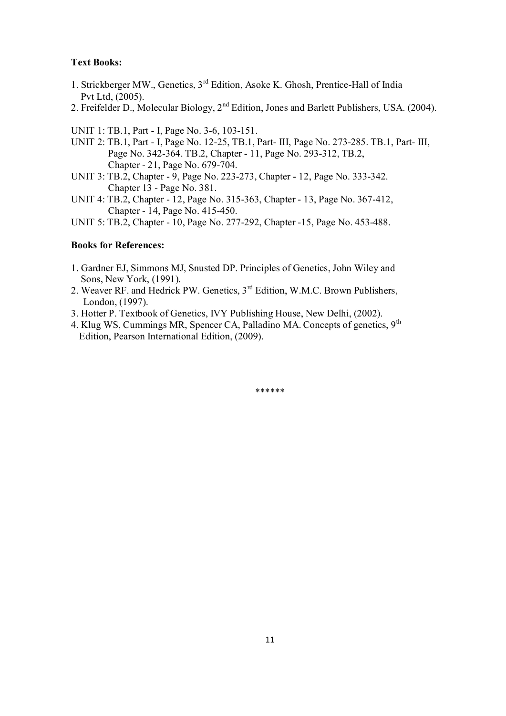- 1. Strickberger MW., Genetics, 3rd Edition, Asoke K. Ghosh, Prentice-Hall of India Pvt Ltd, (2005).
- 2. Freifelder D., Molecular Biology, 2<sup>nd</sup> Edition, Jones and Barlett Publishers, USA. (2004).

UNIT 1: TB.1, Part - I, Page No. 3-6, 103-151.

- UNIT 2: TB.1, Part I, Page No. 12-25, TB.1, Part- III, Page No. 273-285. TB.1, Part- III, Page No. 342-364. TB.2, Chapter - 11, Page No. 293-312, TB.2, Chapter - 21, Page No. 679-704.
- UNIT 3: TB.2, Chapter 9, Page No. 223-273, Chapter 12, Page No. 333-342. Chapter 13 - Page No. 381.
- UNIT 4: TB.2, Chapter 12, Page No. 315-363, Chapter 13, Page No. 367-412, Chapter - 14, Page No. 415-450.
- UNIT 5: TB.2, Chapter 10, Page No. 277-292, Chapter -15, Page No. 453-488.

#### **Books for References:**

- 1. Gardner EJ, Simmons MJ, Snusted DP. Principles of Genetics, John Wiley and Sons, New York, (1991).
- 2. Weaver RF. and Hedrick PW. Genetics, 3<sup>rd</sup> Edition, W.M.C. Brown Publishers, London, (1997).
- 3. Hotter P. Textbook of Genetics, IVY Publishing House, New Delhi, (2002).
- 4. Klug WS, Cummings MR, Spencer CA, Palladino MA. Concepts of genetics, 9th Edition, Pearson International Edition, (2009).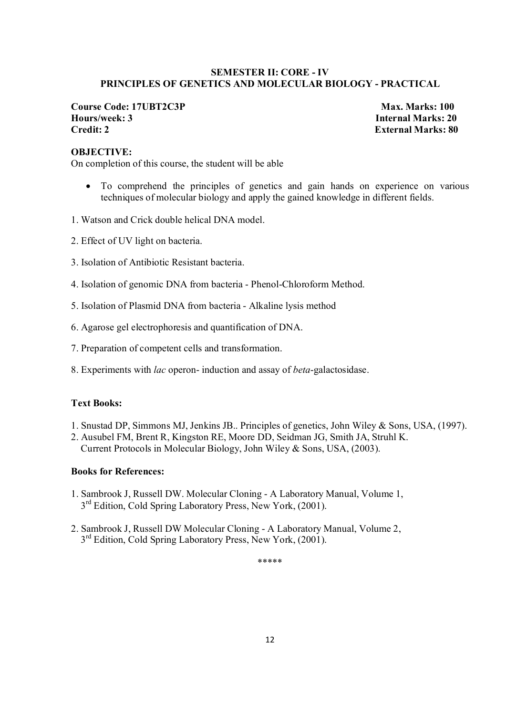#### **SEMESTER II: CORE - IV PRINCIPLES OF GENETICS AND MOLECULAR BIOLOGY - PRACTICAL**

**Course Code: 17UBT2C3P Max. Marks: 100 Hours/week: 3 Internal Marks: 20 Credit: 2 External Marks: 80** 

#### **OBJECTIVE:**

On completion of this course, the student will be able

- To comprehend the principles of genetics and gain hands on experience on various techniques of molecular biology and apply the gained knowledge in different fields.
- 1. Watson and Crick double helical DNA model.
- 2. Effect of UV light on bacteria.
- 3. Isolation of Antibiotic Resistant bacteria.
- 4. Isolation of genomic DNA from bacteria Phenol-Chloroform Method.
- 5. Isolation of Plasmid DNA from bacteria Alkaline lysis method
- 6. Agarose gel electrophoresis and quantification of DNA.
- 7. Preparation of competent cells and transformation.
- 8. Experiments with *lac* operon- induction and assay of *beta*-galactosidase.

#### **Text Books:**

- 1. Snustad DP, Simmons MJ, Jenkins JB.. Principles of genetics, John Wiley & Sons, USA, (1997).
- 2. Ausubel FM, Brent R, Kingston RE, Moore DD, Seidman JG, Smith JA, Struhl K. Current Protocols in Molecular Biology, John Wiley & Sons, USA, (2003).

#### **Books for References:**

- 1. Sambrook J, Russell DW. Molecular Cloning A Laboratory Manual, Volume 1,  $3<sup>rd</sup>$  Edition, Cold Spring Laboratory Press, New York, (2001).
- 2. Sambrook J, Russell DW Molecular Cloning A Laboratory Manual, Volume 2, 3<sup>rd</sup> Edition, Cold Spring Laboratory Press, New York, (2001).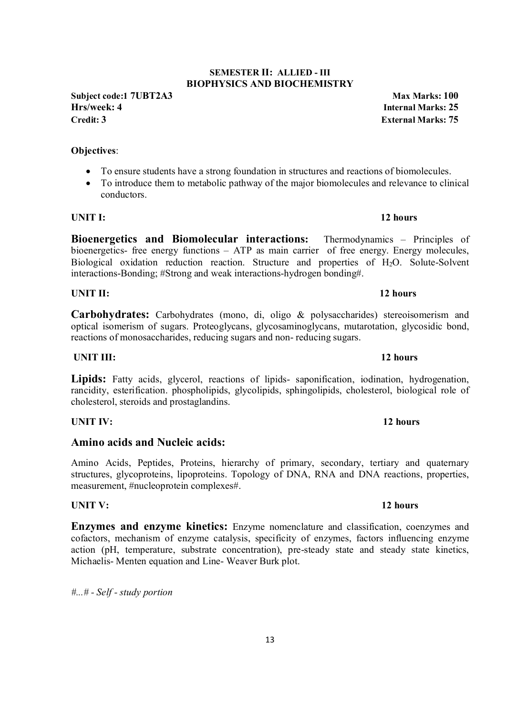### **SEMESTER II: ALLIED - III BIOPHYSICS AND BIOCHEMISTRY**

**Subject code:1 7UBT2A3 Max Marks: 100 Hrs/week: 4 Internal Marks: 25 Credit: 3 External Marks: 75**

### **Objectives**:

- To ensure students have a strong foundation in structures and reactions of biomolecules.
- To introduce them to metabolic pathway of the major biomolecules and relevance to clinical conductors.

**Bioenergetics and Biomolecular interactions:** Thermodynamics – Principles of bioenergetics- free energy functions – ATP as main carrier of free energy. Energy molecules, Biological oxidation reduction reaction. Structure and properties of H<sub>2</sub>O. Solute-Solvent interactions-Bonding; #Strong and weak interactions-hydrogen bonding#.

**Carbohydrates:** Carbohydrates (mono, di, oligo & polysaccharides) stereoisomerism and optical isomerism of sugars. Proteoglycans, glycosaminoglycans, mutarotation, glycosidic bond, reactions of monosaccharides, reducing sugars and non- reducing sugars.

**Lipids:** Fatty acids, glycerol, reactions of lipids- saponification, iodination, hydrogenation, rancidity, esterification. phospholipids, glycolipids, sphingolipids, cholesterol, biological role of cholesterol, steroids and prostaglandins.

**UNIT III:** 12 hours

**UNIT IV:** 12 hours

### **Amino acids and Nucleic acids:**

Amino Acids, Peptides, Proteins, hierarchy of primary, secondary, tertiary and quaternary structures, glycoproteins, lipoproteins. Topology of DNA, RNA and DNA reactions, properties, measurement, #nucleoprotein complexes#.

**UNIT V:** 12 hours **Enzymes and enzyme kinetics:** Enzyme nomenclature and classification, coenzymes and cofactors, mechanism of enzyme catalysis, specificity of enzymes, factors influencing enzyme action (pH, temperature, substrate concentration), pre-steady state and steady state kinetics, Michaelis- Menten equation and Line- Weaver Burk plot.

*#...# - Self - study portion* 

**UNIT II:** 12 hours

# **UNIT I:** 12 hours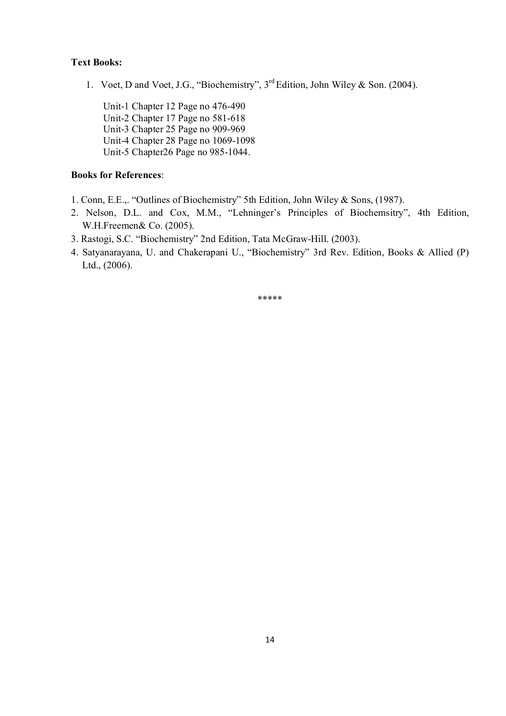1. Voet, D and Voet, J.G., "Biochemistry", 3rd Edition, John Wiley & Son. (2004).

 Unit-1 Chapter 12 Page no 476-490 Unit-2 Chapter 17 Page no 581-618 Unit-3 Chapter 25 Page no 909-969 Unit-4 Chapter 28 Page no 1069-1098 Unit-5 Chapter26 Page no 985-1044.

### **Books for References**:

- 1. Conn, E.E.,. "Outlines of Biochemistry" 5th Edition, John Wiley & Sons, (1987).
- 2. Nelson, D.L. and Cox, M.M., "Lehninger's Principles of Biochemsitry", 4th Edition, W.H.Freemen& Co. (2005).
- 3. Rastogi, S.C. "Biochemistry" 2nd Edition, Tata McGraw-Hill. (2003).
- 4. Satyanarayana, U. and Chakerapani U., "Biochemistry" 3rd Rev. Edition, Books & Allied (P) Ltd., (2006).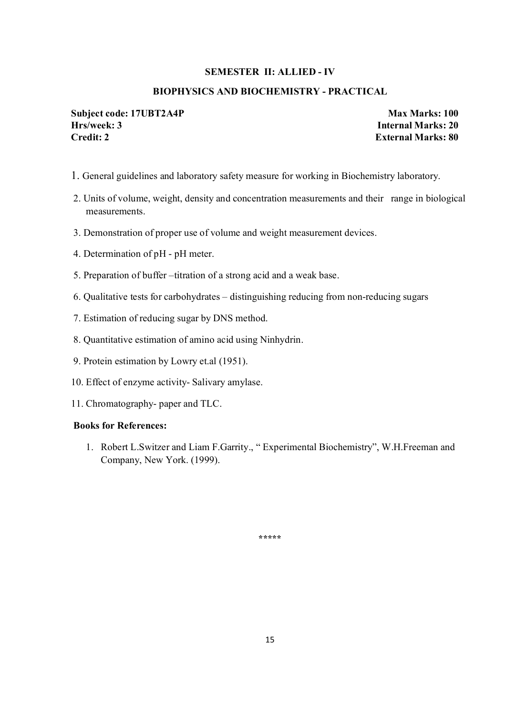#### **SEMESTER II: ALLIED - IV**

#### **BIOPHYSICS AND BIOCHEMISTRY - PRACTICAL**

#### **Subject code: 17UBT2A4P Max Marks: 100 Hrs/week: 3 Internal Marks: 20 Credit: 2 External Marks: 80**

- 1. General guidelines and laboratory safety measure for working in Biochemistry laboratory.
- 2. Units of volume, weight, density and concentration measurements and their range in biological measurements.
- 3. Demonstration of proper use of volume and weight measurement devices.
- 4. Determination of pH pH meter.
- 5. Preparation of buffer –titration of a strong acid and a weak base.
- 6. Qualitative tests for carbohydrates distinguishing reducing from non-reducing sugars
- 7. Estimation of reducing sugar by DNS method.
- 8. Quantitative estimation of amino acid using Ninhydrin.
- 9. Protein estimation by Lowry et.al (1951).
- 10. Effect of enzyme activity- Salivary amylase.
- 11. Chromatography- paper and TLC.

#### **Books for References:**

1. Robert L.Switzer and Liam F.Garrity., " Experimental Biochemistry", W.H.Freeman and Company, New York. (1999).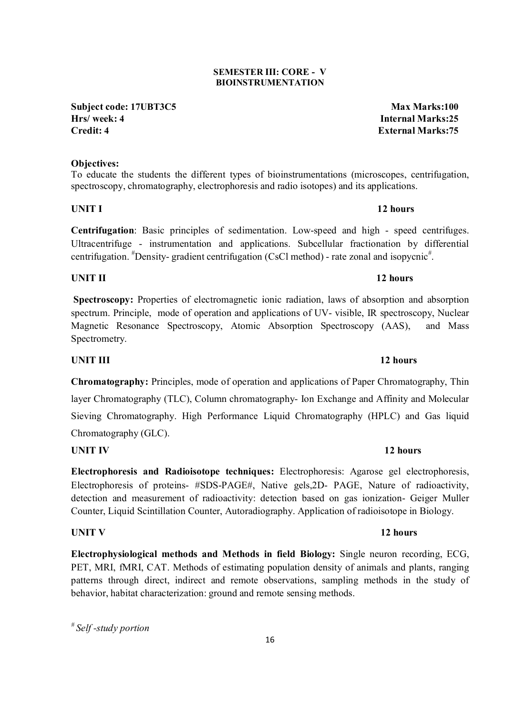#### **SEMESTER III: CORE - V BIOINSTRUMENTATION**

**Subject code: 17UBT3C5 Max Marks:100 Hrs/ week: 4 Internal Marks:25 Credit: 4 External Marks:75**

### **Objectives:**

To educate the students the different types of bioinstrumentations (microscopes, centrifugation, spectroscopy, chromatography, electrophoresis and radio isotopes) and its applications.

### **UNIT I** 12 hours

**Centrifugation**: Basic principles of sedimentation. Low-speed and high - speed centrifuges. Ultracentrifuge - instrumentation and applications. Subcellular fractionation by differential centrifugation. <sup>#</sup>Density- gradient centrifugation (CsCl method) - rate zonal and isopycnic<sup>#</sup>.

### **UNIT II** 12 hours

**Spectroscopy:** Properties of electromagnetic ionic radiation, laws of absorption and absorption spectrum. Principle, mode of operation and applications of UV- visible, IR spectroscopy, Nuclear Magnetic Resonance Spectroscopy, Atomic Absorption Spectroscopy (AAS), and Mass Spectrometry.

**UNIT III** 12 hours

**Chromatography:** Principles, mode of operation and applications of Paper Chromatography, Thin layer Chromatography (TLC), Column chromatography- Ion Exchange and Affinity and Molecular Sieving Chromatography. High Performance Liquid Chromatography (HPLC) and Gas liquid Chromatography (GLC).

### **UNIT IV** 12 hours

**Electrophoresis and Radioisotope techniques:** Electrophoresis: Agarose gel electrophoresis, Electrophoresis of proteins- #SDS-PAGE#, Native gels,2D- PAGE, Nature of radioactivity, detection and measurement of radioactivity: detection based on gas ionization- Geiger Muller Counter, Liquid Scintillation Counter, Autoradiography. Application of radioisotope in Biology.

**Electrophysiological methods and Methods in field Biology:** Single neuron recording, ECG, PET, MRI, fMRI, CAT. Methods of estimating population density of animals and plants, ranging patterns through direct, indirect and remote observations, sampling methods in the study of behavior, habitat characterization: ground and remote sensing methods.

*# Self -study portion*

### **UNIT V** 12 hours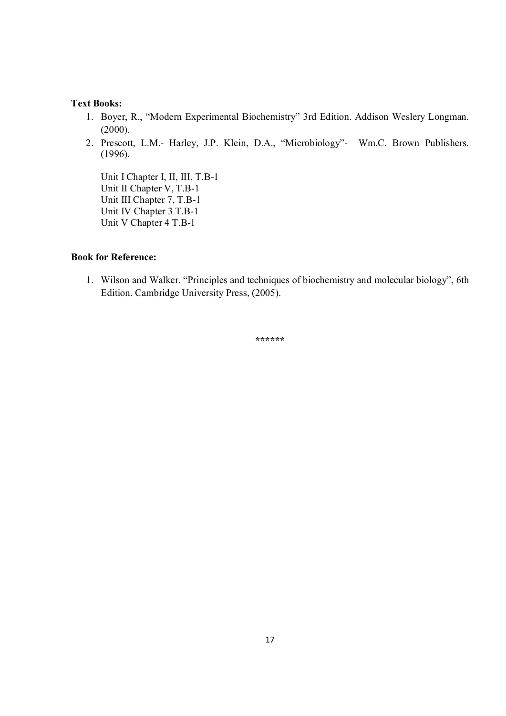- 1. Boyer, R., "Modern Experimental Biochemistry" 3rd Edition. Addison Weslery Longman. (2000).
- 2. Prescott, L.M.- Harley, J.P. Klein, D.A., "Microbiology"- Wm.C. Brown Publishers. (1996).

 Unit I Chapter I, II, III, T.B-1 Unit II Chapter V, T.B-1 Unit III Chapter 7, T.B-1 Unit IV Chapter 3 T.B-1 Unit V Chapter 4 T.B-1

### **Book for Reference:**

1. Wilson and Walker. "Principles and techniques of biochemistry and molecular biology", 6th Edition. Cambridge University Press, (2005).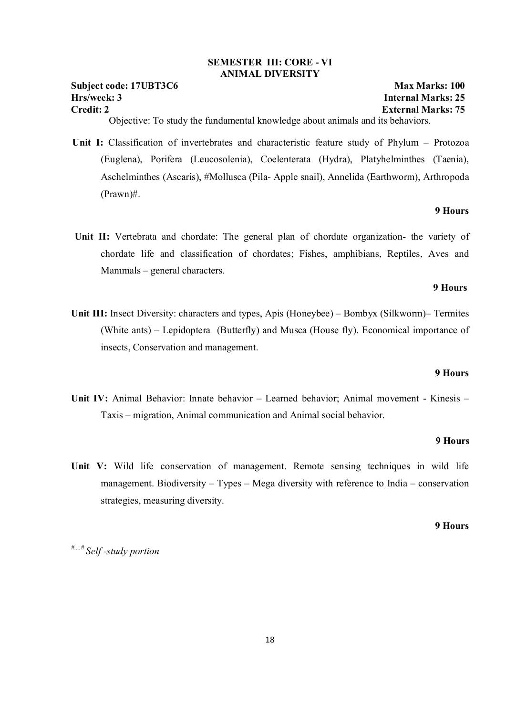#### **SEMESTER III: CORE - VI ANIMAL DIVERSITY**

#### **Subject code: 17UBT3C6 Max Marks: 100 Hrs/week: 3 Internal Marks: 25 Credit: 2 External Marks: 75**

Objective: To study the fundamental knowledge about animals and its behaviors.

 **Unit I:** Classification of invertebrates and characteristic feature study of Phylum – Protozoa (Euglena), Porifera (Leucosolenia), Coelenterata (Hydra), Platyhelminthes (Taenia), Aschelminthes (Ascaris), #Mollusca (Pila- Apple snail), Annelida (Earthworm), Arthropoda (Prawn)#.

#### **9 Hours**

Unit II: Vertebrata and chordate: The general plan of chordate organization- the variety of chordate life and classification of chordates; Fishes, amphibians, Reptiles, Aves and Mammals – general characters.

#### **9 Hours**

**Unit III:** Insect Diversity: characters and types, Apis (Honeybee) – Bombyx (Silkworm)– Termites (White ants) – Lepidoptera (Butterfly) and Musca (House fly). Economical importance of insects, Conservation and management.

#### **9 Hours**

**Unit IV:** Animal Behavior: Innate behavior – Learned behavior; Animal movement - Kinesis – Taxis – migration, Animal communication and Animal social behavior.

#### **9 Hours**

**Unit V:** Wild life conservation of management. Remote sensing techniques in wild life management. Biodiversity – Types – Mega diversity with reference to India – conservation strategies, measuring diversity.

#### **9 Hours**

*#....# Self -study portion*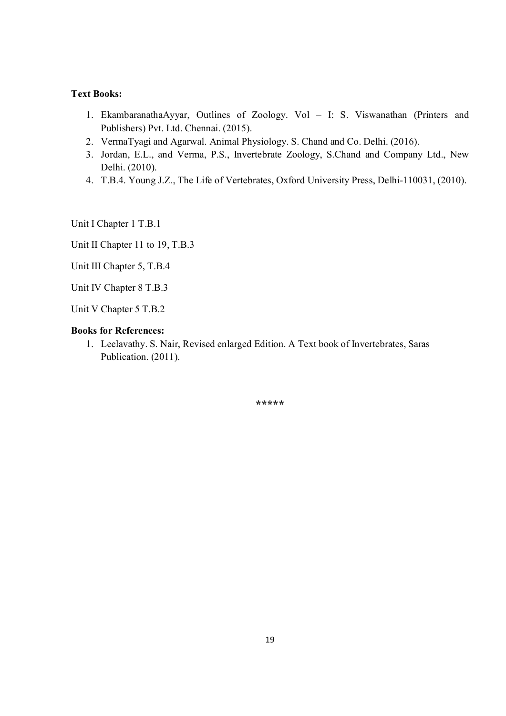- 1. EkambaranathaAyyar, Outlines of Zoology. Vol I: S. Viswanathan (Printers and Publishers) Pvt. Ltd. Chennai. (2015).
- 2. VermaTyagi and Agarwal. Animal Physiology. S. Chand and Co. Delhi. (2016).
- 3. Jordan, E.L., and Verma, P.S., Invertebrate Zoology, S.Chand and Company Ltd., New Delhi. (2010).
- 4. T.B.4. Young J.Z., The Life of Vertebrates, Oxford University Press, Delhi-110031, (2010).

Unit I Chapter 1 T.B.1

Unit II Chapter 11 to 19, T.B.3

Unit III Chapter 5, T.B.4

Unit IV Chapter 8 T.B.3

Unit V Chapter 5 T.B.2

### **Books for References:**

1. Leelavathy. S. Nair, Revised enlarged Edition. A Text book of Invertebrates, Saras Publication. (2011).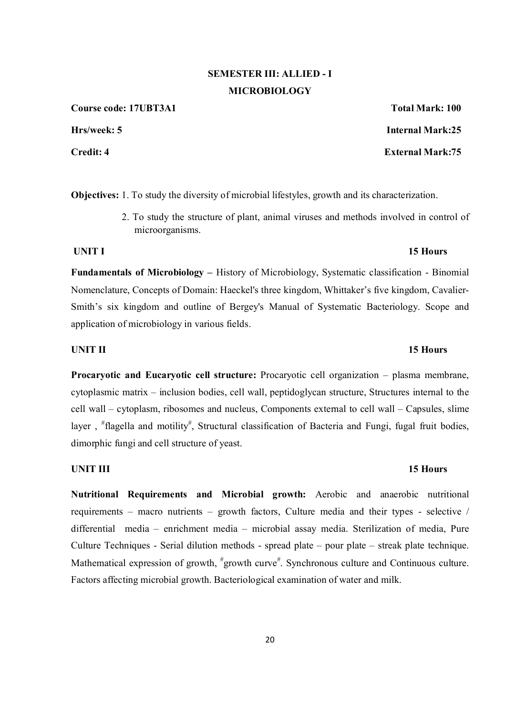# **SEMESTER III: ALLIED - I MICROBIOLOGY**

**Course code: 17UBT3A1 Total Mark: 100**

**Objectives:** 1. To study the diversity of microbial lifestyles, growth and its characterization.

 2. To study the structure of plant, animal viruses and methods involved in control of microorganisms.

**Fundamentals of Microbiology –** History of Microbiology, Systematic classification - Binomial Nomenclature, Concepts of Domain: Haeckel's three kingdom, Whittaker's five kingdom, Cavalier-Smith's six kingdom and outline of Bergey's Manual of Systematic Bacteriology. Scope and application of microbiology in various fields.

### **UNIT II** 15 Hours

**Procaryotic and Eucaryotic cell structure:** Procaryotic cell organization – plasma membrane, cytoplasmic matrix – inclusion bodies, cell wall, peptidoglycan structure, Structures internal to the cell wall – cytoplasm, ribosomes and nucleus, Components external to cell wall – Capsules, slime layer, <sup>#</sup>flagella and motility<sup>#</sup>, Structural classification of Bacteria and Fungi, fugal fruit bodies, dimorphic fungi and cell structure of yeast.

#### **UNIT III** 15 Hours

**Nutritional Requirements and Microbial growth:** Aerobic and anaerobic nutritional requirements – macro nutrients – growth factors, Culture media and their types - selective / differential media – enrichment media – microbial assay media. Sterilization of media, Pure Culture Techniques - Serial dilution methods - spread plate – pour plate – streak plate technique. Mathematical expression of growth, "growth curve". Synchronous culture and Continuous culture. Factors affecting microbial growth. Bacteriological examination of water and milk.

**Hrs/week: 5 Internal Mark:25 Credit: 4 External Mark:75**

### **UNIT I** 15 Hours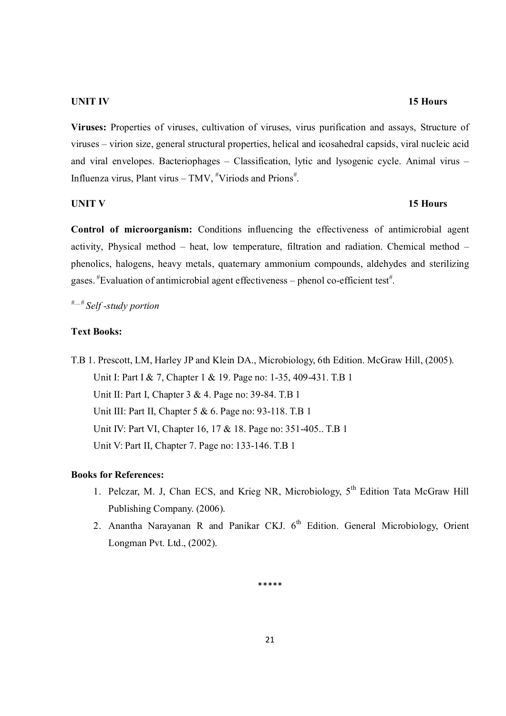#### **UNIT IV** 15 Hours

**Viruses:** Properties of viruses, cultivation of viruses, virus purification and assays, Structure of viruses – virion size, general structural properties, helical and icosahedral capsids, viral nucleic acid and viral envelopes. Bacteriophages – Classification, lytic and lysogenic cycle. Animal virus – Influenza virus, Plant virus – TMV, "Viriods and Prions".

#### **UNIT V** 15 Hours

**Control of microorganism:** Conditions influencing the effectiveness of antimicrobial agent activity, Physical method – heat, low temperature, filtration and radiation. Chemical method – phenolics, halogens, heavy metals, quaternary ammonium compounds, aldehydes and sterilizing gases.  $*$ Evaluation of antimicrobial agent effectiveness – phenol co-efficient test $*$ .

*#....# Self -study portion*

### **Text Books:**

T.B 1. Prescott, LM, Harley JP and Klein DA., Microbiology, 6th Edition. McGraw Hill, (2005). Unit I: Part I & 7, Chapter 1 & 19. Page no: 1-35, 409-431. T.B 1 Unit II: Part I, Chapter 3 & 4. Page no: 39-84. T.B 1 Unit III: Part II, Chapter 5 & 6. Page no: 93-118. T.B 1 Unit IV: Part VI, Chapter 16, 17 & 18. Page no: 351-405.. T.B 1 Unit V: Part II, Chapter 7. Page no: 133-146. T.B 1

#### **Books for References:**

- 1. Pelczar, M. J. Chan ECS, and Krieg NR, Microbiology,  $5<sup>th</sup>$  Edition Tata McGraw Hill Publishing Company. (2006).
- 2. Anantha Narayanan R and Panikar CKJ.  $6<sup>th</sup>$  Edition. General Microbiology, Orient Longman Pvt. Ltd., (2002).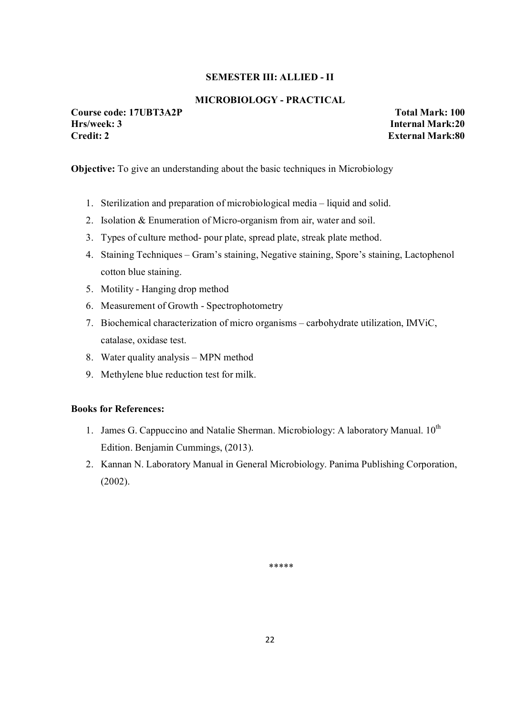#### **SEMESTER III: ALLIED - II**

### **MICROBIOLOGY - PRACTICAL**

**Course code: 17UBT3A2P Total Mark: 100**<br> **Hrs/week: 3 The Internal Mark: 20 Credit: 2 External Mark:80** 

**Haral Mark:20** 

**Objective:** To give an understanding about the basic techniques in Microbiology

- 1. Sterilization and preparation of microbiological media liquid and solid.
- 2. Isolation & Enumeration of Micro-organism from air, water and soil.
- 3. Types of culture method- pour plate, spread plate, streak plate method.
- 4. Staining Techniques Gram's staining, Negative staining, Spore's staining, Lactophenol cotton blue staining.
- 5. Motility Hanging drop method
- 6. Measurement of Growth Spectrophotometry
- 7. Biochemical characterization of micro organisms carbohydrate utilization, IMViC, catalase, oxidase test.
- 8. Water quality analysis MPN method
- 9. Methylene blue reduction test for milk.

#### **Books for References:**

- 1. James G. Cappuccino and Natalie Sherman. Microbiology: A laboratory Manual.  $10^{th}$ Edition. Benjamin Cummings, (2013).
- 2. Kannan N. Laboratory Manual in General Microbiology. Panima Publishing Corporation, (2002).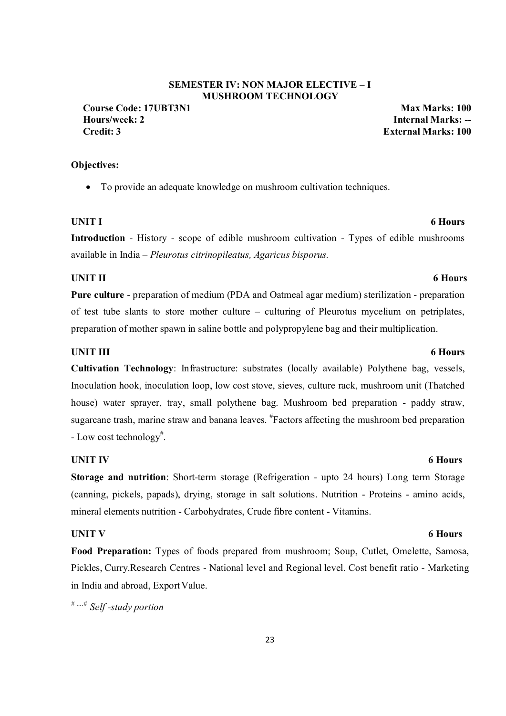### **SEMESTER IV: NON MAJOR ELECTIVE – I MUSHROOM TECHNOLOGY**

**Course Code: 17UBT3N1 Max Marks: 100 Hours/week: 2 Internal Marks: -- Credit: 3 External Marks: 100**

#### **Objectives:**

To provide an adequate knowledge on mushroom cultivation techniques.

#### **UNIT I** 6 Hours

**Introduction** - History - scope of edible mushroom cultivation - Types of edible mushrooms available in India – *Pleurotus citrinopileatus, Agaricus bisporus.*

#### **UNIT II** 6 Hours

**Pure culture** - preparation of medium (PDA and Oatmeal agar medium) sterilization - preparation of test tube slants to store mother culture – culturing of Pleurotus mycelium on petriplates, preparation of mother spawn in saline bottle and polypropylene bag and their multiplication.

#### **UNIT III** 6 Hours

**Cultivation Technology**: Infrastructure: substrates (locally available) Polythene bag, vessels, Inoculation hook, inoculation loop, low cost stove, sieves, culture rack, mushroom unit (Thatched house) water sprayer, tray, small polythene bag. Mushroom bed preparation - paddy straw, sugarcane trash, marine straw and banana leaves. <sup>#</sup>Factors affecting the mushroom bed preparation - Low cost technology<sup>#</sup>.

#### **UNIT IV** 6 Hours

**Storage and nutrition**: Short-term storage (Refrigeration - upto 24 hours) Long term Storage (canning, pickels, papads), drying, storage in salt solutions. Nutrition - Proteins - amino acids, mineral elements nutrition - Carbohydrates, Crude fibre content - Vitamins.

**Food Preparation:** Types of foods prepared from mushroom; Soup, Cutlet, Omelette, Samosa, Pickles, Curry.Research Centres - National level and Regional level. Cost benefit ratio - Marketing in India and abroad, Export Value.

*# ….# Self -study portion*

### **UNIT V** 6 Hours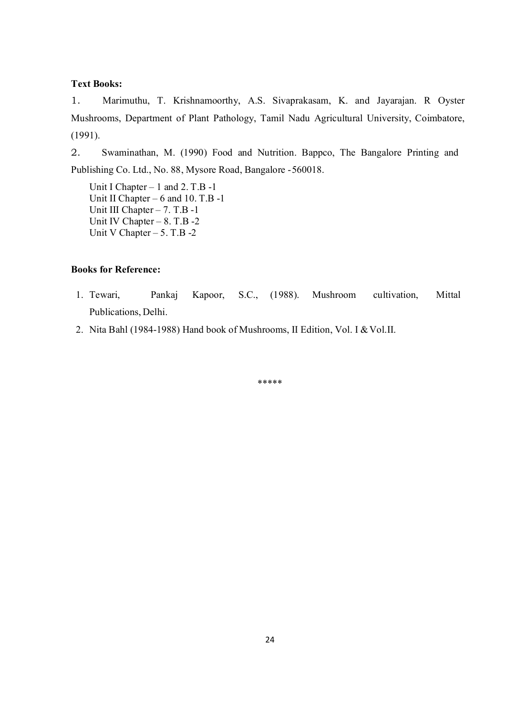1. Marimuthu, T. Krishnamoorthy, A.S. Sivaprakasam, K. and Jayarajan. R Oyster Mushrooms, Department of Plant Pathology, Tamil Nadu Agricultural University, Coimbatore, (1991).

2. Swaminathan, M. (1990) Food and Nutrition. Bappco, The Bangalore Printing and Publishing Co. Ltd., No. 88, Mysore Road, Bangalore - 560018.

Unit I Chapter – 1 and 2. T.B -1 Unit II Chapter – 6 and 10. T.B -1 Unit III Chapter – 7. T.B -1 Unit IV Chapter – 8. T.B -2 Unit V Chapter  $-5$ . T.B  $-2$ 

### **Books for Reference:**

- 1. Tewari, Pankaj Kapoor, S.C., (1988). Mushroom cultivation, Mittal Publications, Delhi.
- 2. Nita Bahl (1984-1988) Hand book of Mushrooms, II Edition, Vol. I & Vol.II.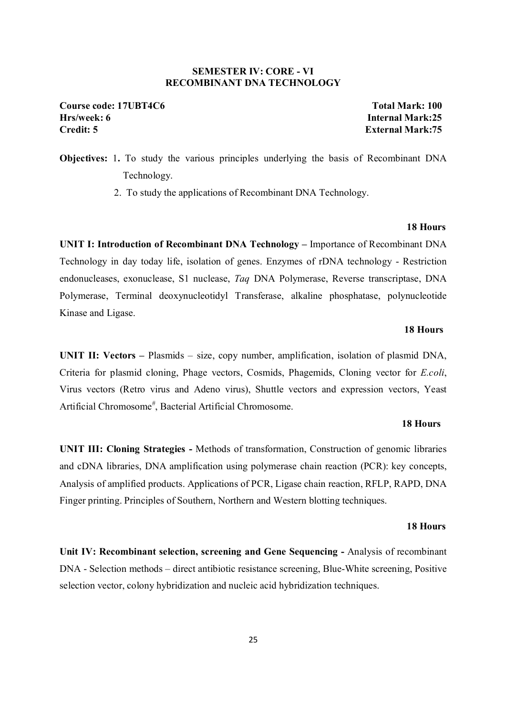#### **SEMESTER IV: CORE - VI RECOMBINANT DNA TECHNOLOGY**

**Course code: 17UBT4C6 Total Mark: 100 Hrs/week: 6 Internal Mark:25 Credit: 5 External Mark:75** 

# **Objectives:** 1**.** To study the various principles underlying the basis of Recombinant DNA Technology.

2. To study the applications of Recombinant DNA Technology.

#### **18 Hours**

**UNIT I: Introduction of Recombinant DNA Technology –** Importance of Recombinant DNA Technology in day today life, isolation of genes. Enzymes of rDNA technology - Restriction endonucleases, exonuclease, S1 nuclease, *Taq* DNA Polymerase, Reverse transcriptase, DNA Polymerase, Terminal deoxynucleotidyl Transferase, alkaline phosphatase, polynucleotide Kinase and Ligase.

#### **18 Hours**

**UNIT II: Vectors –** Plasmids – size, copy number, amplification, isolation of plasmid DNA, Criteria for plasmid cloning, Phage vectors, Cosmids, Phagemids, Cloning vector for *E.coli*, Virus vectors (Retro virus and Adeno virus), Shuttle vectors and expression vectors, Yeast Artificial Chromosome<sup>#</sup>, Bacterial Artificial Chromosome.

#### **18 Hours**

**UNIT III: Cloning Strategies -** Methods of transformation, Construction of genomic libraries and cDNA libraries, DNA amplification using polymerase chain reaction (PCR): key concepts, Analysis of amplified products. Applications of PCR, Ligase chain reaction, RFLP, RAPD, DNA Finger printing. Principles of Southern, Northern and Western blotting techniques.

#### **18 Hours**

**Unit IV: Recombinant selection, screening and Gene Sequencing -** Analysis of recombinant DNA - Selection methods – direct antibiotic resistance screening, Blue-White screening, Positive selection vector, colony hybridization and nucleic acid hybridization techniques.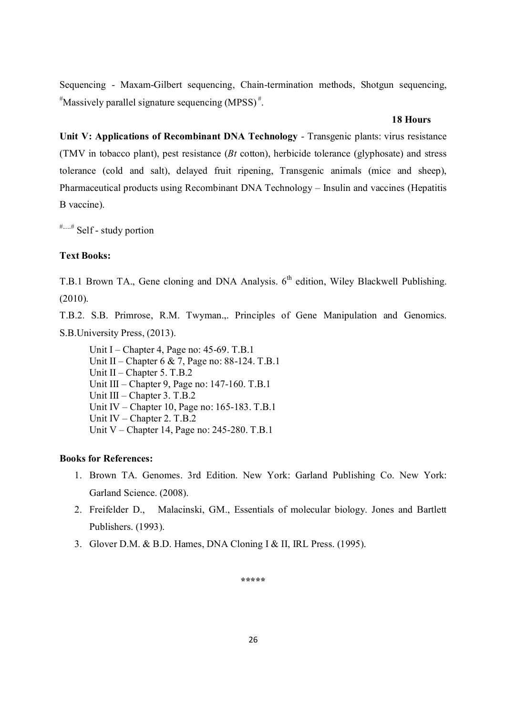Sequencing - Maxam-Gilbert sequencing, Chain-termination methods, Shotgun sequencing, # Massively parallel signature sequencing (MPSS) #.

#### **18 Hours**

**Unit V: Applications of Recombinant DNA Technology** - Transgenic plants: virus resistance (TMV in tobacco plant), pest resistance (*Bt* cotton), herbicide tolerance (glyphosate) and stress tolerance (cold and salt), delayed fruit ripening, Transgenic animals (mice and sheep), Pharmaceutical products using Recombinant DNA Technology – Insulin and vaccines (Hepatitis B vaccine).

#.....# Self - study portion

### **Text Books:**

T.B.1 Brown TA., Gene cloning and DNA Analysis. 6<sup>th</sup> edition, Wiley Blackwell Publishing. (2010).

T.B.2. S.B. Primrose, R.M. Twyman.,. Principles of Gene Manipulation and Genomics. S.B.University Press, (2013).

Unit I – Chapter 4, Page no: 45-69. T.B.1 Unit II – Chapter 6 & 7, Page no: 88-124. T.B.1 Unit II – Chapter 5. T.B.2 Unit III – Chapter 9, Page no: 147-160. T.B.1 Unit III – Chapter 3. T.B.2 Unit IV – Chapter 10, Page no: 165-183. T.B.1 Unit IV – Chapter 2. T.B.2 Unit V – Chapter 14, Page no: 245-280. T.B.1

#### **Books for References:**

- 1. Brown TA. Genomes. 3rd Edition. New York: Garland Publishing Co. New York: Garland Science. (2008).
- 2. Freifelder D., Malacinski, GM., Essentials of molecular biology. Jones and Bartlett Publishers. (1993).
- 3. Glover D.M. & B.D. Hames, DNA Cloning I & II, IRL Press. (1995).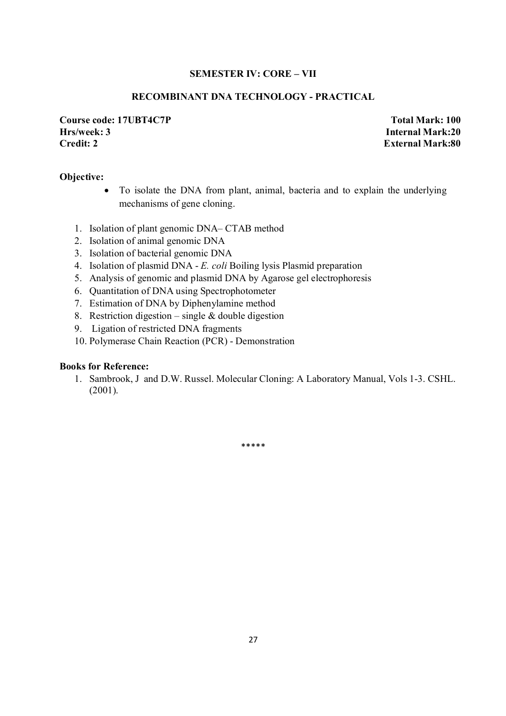#### **SEMESTER IV: CORE – VII**

#### **RECOMBINANT DNA TECHNOLOGY - PRACTICAL**

**Course code: 17UBT4C7P Total Mark: 100 Hrs/week: 3 Internal Mark:20 Credit: 2 External Mark:80** 

#### **Objective:**

- To isolate the DNA from plant, animal, bacteria and to explain the underlying mechanisms of gene cloning.
- 1. Isolation of plant genomic DNA– CTAB method
- 2. Isolation of animal genomic DNA
- 3. Isolation of bacterial genomic DNA
- 4. Isolation of plasmid DNA *E. coli* Boiling lysis Plasmid preparation
- 5. Analysis of genomic and plasmid DNA by Agarose gel electrophoresis
- 6. Quantitation of DNA using Spectrophotometer
- 7. Estimation of DNA by Diphenylamine method
- 8. Restriction digestion single  $&$  double digestion
- 9. Ligation of restricted DNA fragments
- 10. Polymerase Chain Reaction (PCR) Demonstration

#### **Books for Reference:**

1. Sambrook, J and D.W. Russel. Molecular Cloning: A Laboratory Manual, Vols 1-3. CSHL. (2001).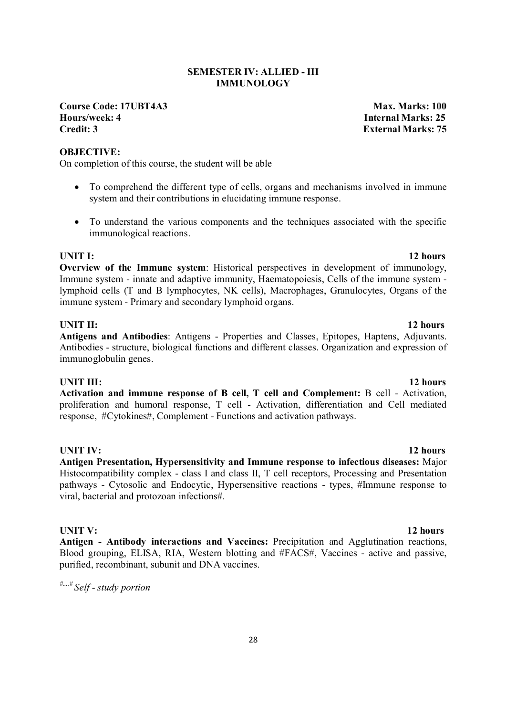### **SEMESTER IV: ALLIED - III IMMUNOLOGY**

**Course Code: 17UBT4A3** Max. Marks: 100 **Hours/week: 4 Internal Marks: 25 Credit: 3 External Marks: 75** 

#### **OBJECTIVE:**

On completion of this course, the student will be able

- To comprehend the different type of cells, organs and mechanisms involved in immune system and their contributions in elucidating immune response.
- To understand the various components and the techniques associated with the specific immunological reactions.

**UNIT I:** 12 hours **Overview of the Immune system**: Historical perspectives in development of immunology, Immune system - innate and adaptive immunity, Haematopoiesis, Cells of the immune system lymphoid cells (T and B lymphocytes, NK cells), Macrophages, Granulocytes, Organs of the immune system - Primary and secondary lymphoid organs.

### **UNIT II:** 12 hours

**Antigens and Antibodies**: Antigens - Properties and Classes, Epitopes, Haptens, Adjuvants. Antibodies - structure, biological functions and different classes. Organization and expression of immunoglobulin genes.

#### **UNIT III:** 12 hours

**Activation and immune response of B cell, T cell and Complement:** B cell - Activation, proliferation and humoral response, T cell - Activation, differentiation and Cell mediated response, #Cytokines#, Complement - Functions and activation pathways.

**UNIT IV:** 12 hours

**Antigen Presentation, Hypersensitivity and Immune response to infectious diseases:** Major Histocompatibility complex - class I and class II, T cell receptors, Processing and Presentation pathways - Cytosolic and Endocytic, Hypersensitive reactions - types, #Immune response to viral, bacterial and protozoan infections#.

**Antigen - Antibody interactions and Vaccines:** Precipitation and Agglutination reactions, Blood grouping, ELISA, RIA, Western blotting and #FACS#, Vaccines - active and passive, purified, recombinant, subunit and DNA vaccines.

*#....# Self - study portion* 

### **UNIT V:** 12 hours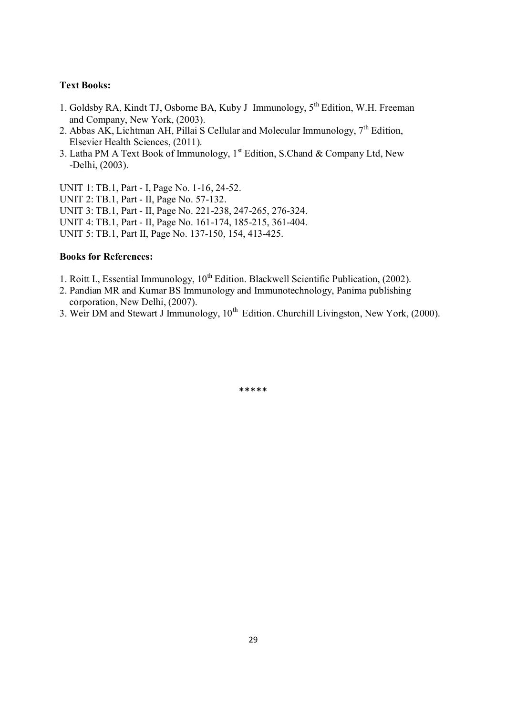- 1. Goldsby RA, Kindt TJ, Osborne BA, Kuby J Immunology, 5th Edition, W.H. Freeman and Company, New York, (2003).
- 2. Abbas AK, Lichtman AH, Pillai S Cellular and Molecular Immunology,  $7<sup>th</sup>$  Edition, Elsevier Health Sciences, (2011).
- 3. Latha PM A Text Book of Immunology,  $1<sup>st</sup>$  Edition, S.Chand & Company Ltd, New -Delhi, (2003).

UNIT 1: TB.1, Part - I, Page No. 1-16, 24-52. UNIT 2: TB.1, Part - II, Page No. 57-132. UNIT 3: TB.1, Part - II, Page No. 221-238, 247-265, 276-324. UNIT 4: TB.1, Part - II, Page No. 161-174, 185-215, 361-404. UNIT 5: TB.1, Part II, Page No. 137-150, 154, 413-425.

#### **Books for References:**

- 1. Roitt I., Essential Immunology,  $10^{th}$  Edition. Blackwell Scientific Publication, (2002).
- 2. Pandian MR and Kumar BS Immunology and Immunotechnology, Panima publishing corporation, New Delhi, (2007).
- 3. Weir DM and Stewart J Immunology,  $10^{th}$  Edition. Churchill Livingston, New York, (2000).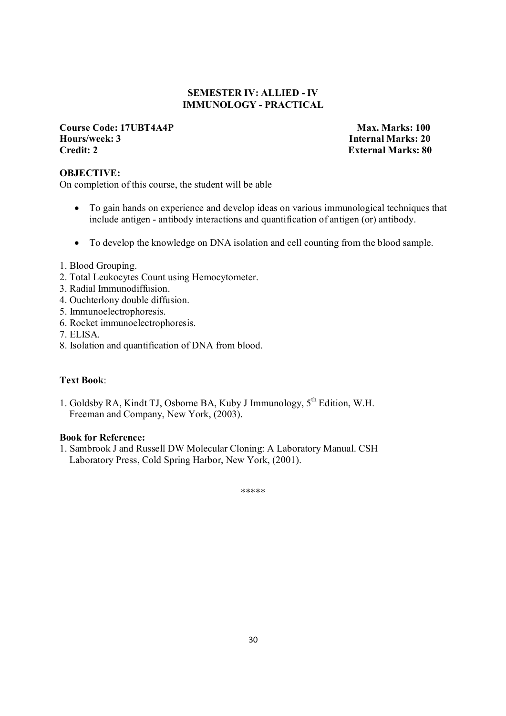### **SEMESTER IV: ALLIED - IV IMMUNOLOGY - PRACTICAL**

#### **Course Code: 17UBT4A4P Max. Marks: 100 Hours/week: 3 Internal Marks: 20 Credit: 2 External Marks: 80**

### **OBJECTIVE:**

On completion of this course, the student will be able

- To gain hands on experience and develop ideas on various immunological techniques that include antigen - antibody interactions and quantification of antigen (or) antibody.
- To develop the knowledge on DNA isolation and cell counting from the blood sample.
- 1. Blood Grouping.
- 2. Total Leukocytes Count using Hemocytometer.
- 3. Radial Immunodiffusion.
- 4. Ouchterlony double diffusion.
- 5. Immunoelectrophoresis.
- 6. Rocket immunoelectrophoresis.
- 7. ELISA.
- 8. Isolation and quantification of DNA from blood.

### **Text Book**:

1. Goldsby RA, Kindt TJ, Osborne BA, Kuby J Immunology, 5<sup>th</sup> Edition, W.H. Freeman and Company, New York, (2003).

#### **Book for Reference:**

1. Sambrook J and Russell DW Molecular Cloning: A Laboratory Manual. CSH Laboratory Press, Cold Spring Harbor, New York, (2001).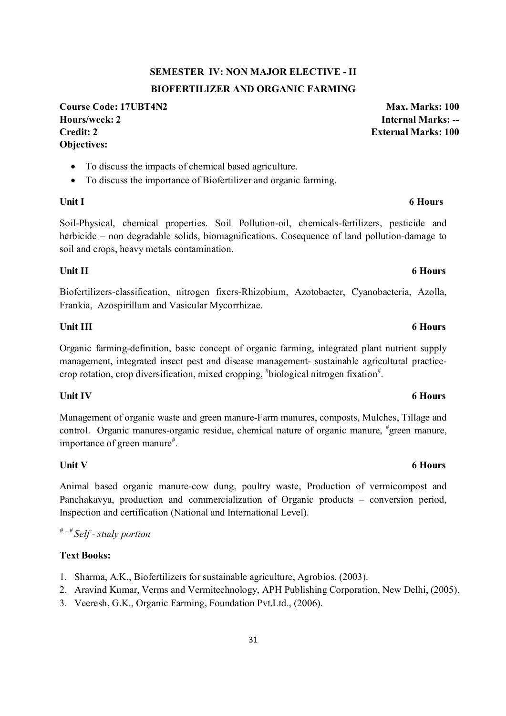# **SEMESTER IV: NON MAJOR ELECTIVE - II BIOFERTILIZER AND ORGANIC FARMING**

**Course Code: 17UBT4N2 Max. Marks: 100 Hours/week: 2 Internal Marks: -- Credit: 2 External Marks: 100 Objectives:** 

- To discuss the impacts of chemical based agriculture.
- To discuss the importance of Biofertilizer and organic farming.

Soil-Physical, chemical properties. Soil Pollution-oil, chemicals-fertilizers, pesticide and herbicide – non degradable solids, biomagnifications. Cosequence of land pollution-damage to soil and crops, heavy metals contamination.

### Unit II 6 Hours **6 Hours**

Biofertilizers-classification, nitrogen fixers-Rhizobium, Azotobacter, Cyanobacteria, Azolla, Frankia, Azospirillum and Vasicular Mycorrhizae.

### Unit III 6 Hours

Organic farming-definition, basic concept of organic farming, integrated plant nutrient supply management, integrated insect pest and disease management- sustainable agricultural practicecrop rotation, crop diversification, mixed cropping, "biological nitrogen fixation".

### Unit IV 6 Hours

Management of organic waste and green manure-Farm manures, composts, Mulches, Tillage and control. Organic manures-organic residue, chemical nature of organic manure, "green manure, importance of green manure<sup>#</sup>.

Animal based organic manure-cow dung, poultry waste, Production of vermicompost and Panchakavya, production and commercialization of Organic products – conversion period, Inspection and certification (National and International Level).

*#....# Self - study portion*

### **Text Books:**

- 1. Sharma, A.K., Biofertilizers for sustainable agriculture, Agrobios. (2003).
- 2. Aravind Kumar, Verms and Vermitechnology, APH Publishing Corporation, New Delhi, (2005).
- 3. Veeresh, G.K., Organic Farming, Foundation Pvt.Ltd., (2006).

#### Unit V 6 Hours

# Unit I 6 Hours **6 Hours**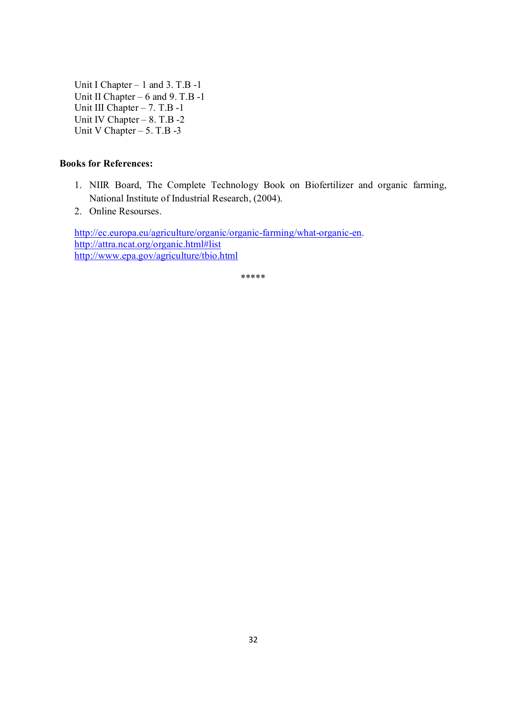Unit I Chapter – 1 and 3. T.B -1 Unit II Chapter – 6 and 9. T.B -1 Unit III Chapter – 7. T.B -1 Unit IV Chapter  $-8$ . T.B -2 Unit V Chapter  $-5$ . T.B -3

### **Books for References:**

- 1. NIIR Board, The Complete Technology Book on Biofertilizer and organic farming, National Institute of Industrial Research, (2004).
- 2. Online Resourses.

http://ec.europa.eu/agriculture/organic/organic-farming/what-organic-en. http://attra.ncat.org/organic.html#list http://www.epa.gov/agriculture/tbio.html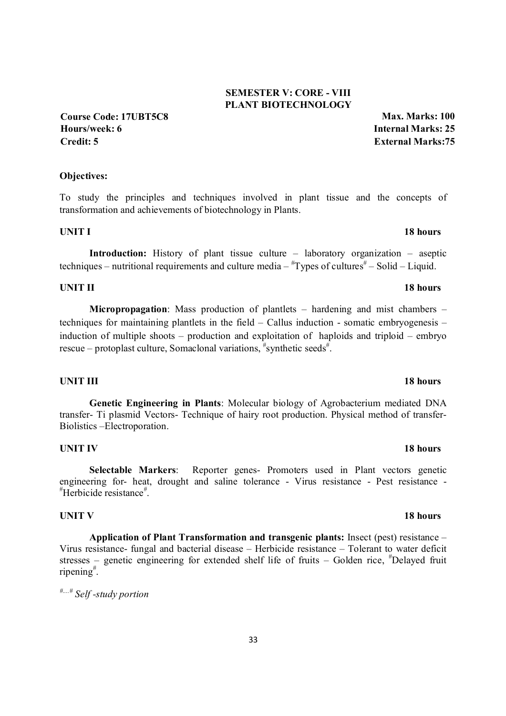# 33

### **SEMESTER V: CORE - VIII PLANT BIOTECHNOLOGY**

**Course Code: 17UBT5C8 Max. Marks: 100 Hours/week: 6 Internal Marks: 25 Credit: 5 External Marks:75**

### **Objectives:**

To study the principles and techniques involved in plant tissue and the concepts of transformation and achievements of biotechnology in Plants.

### **UNIT I** 18 hours

 **Introduction:** History of plant tissue culture – laboratory organization – aseptic techniques – nutritional requirements and culture media –  $\text{``Types of cultures''}$  – Solid – Liquid.

### **UNIT II 18 hours**

**Micropropagation**: Mass production of plantlets – hardening and mist chambers – techniques for maintaining plantlets in the field – Callus induction - somatic embryogenesis – induction of multiple shoots – production and exploitation of haploids and triploid – embryo rescue – protoplast culture, Somaclonal variations, #synthetic seeds#.

### **UNIT III** 18 hours

**Genetic Engineering in Plants**: Molecular biology of Agrobacterium mediated DNA transfer- Ti plasmid Vectors- Technique of hairy root production. Physical method of transfer-Biolistics –Electroporation.

### **UNIT IV** 18 hours

**Selectable Markers**: Reporter genes- Promoters used in Plant vectors genetic engineering for- heat, drought and saline tolerance - Virus resistance - Pest resistance - # Herbicide resistance# .

### **UNIT V 18 hours**

**Application of Plant Transformation and transgenic plants:** Insect (pest) resistance – Virus resistance- fungal and bacterial disease – Herbicide resistance – Tolerant to water deficit stresses – genetic engineering for extended shelf life of fruits – Golden rice, #Delayed fruit ripening# .

*#....# Self -study portion*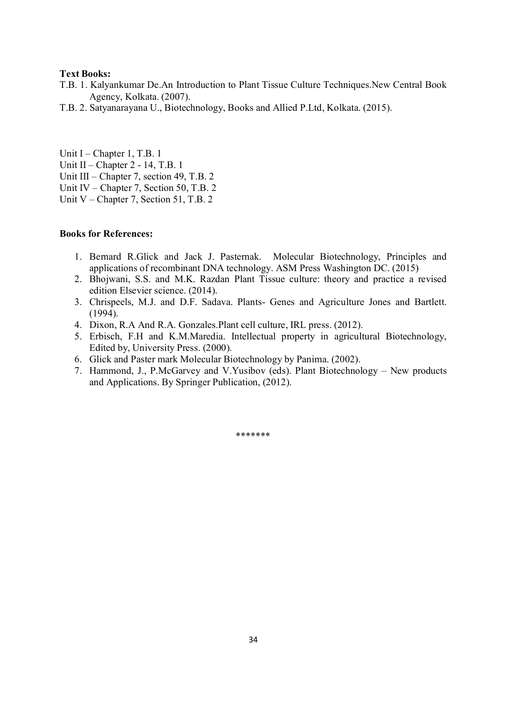- T.B. 1. Kalyankumar De.An Introduction to Plant Tissue Culture Techniques.New Central Book Agency, Kolkata. (2007).
- T.B. 2. Satyanarayana U., Biotechnology, Books and Allied P.Ltd, Kolkata. (2015).

Unit I – Chapter 1, T.B. 1 Unit II – Chapter 2 - 14, T.B. 1

- Unit III Chapter 7, section 49, T.B. 2
- Unit IV Chapter 7, Section 50, T.B. 2
- Unit V Chapter 7, Section 51, T.B. 2

#### **Books for References:**

- 1. Bernard R.Glick and Jack J. Pasternak. Molecular Biotechnology, Principles and applications of recombinant DNA technology. ASM Press Washington DC. (2015)
- 2. Bhojwani, S.S. and M.K. Razdan Plant Tissue culture: theory and practice a revised edition Elsevier science. (2014).
- 3. Chrispeels, M.J. and D.F. Sadava. Plants- Genes and Agriculture Jones and Bartlett. (1994).
- 4. Dixon, R.A And R.A. Gonzales.Plant cell culture, IRL press. (2012).
- 5. Erbisch, F.H and K.M.Maredia. Intellectual property in agricultural Biotechnology, Edited by, University Press. (2000).
- 6. Glick and Paster mark Molecular Biotechnology by Panima. (2002).
- 7. Hammond, J., P.McGarvey and V.Yusibov (eds). Plant Biotechnology New products and Applications. By Springer Publication, (2012).

\*\*\*\*\*\*\*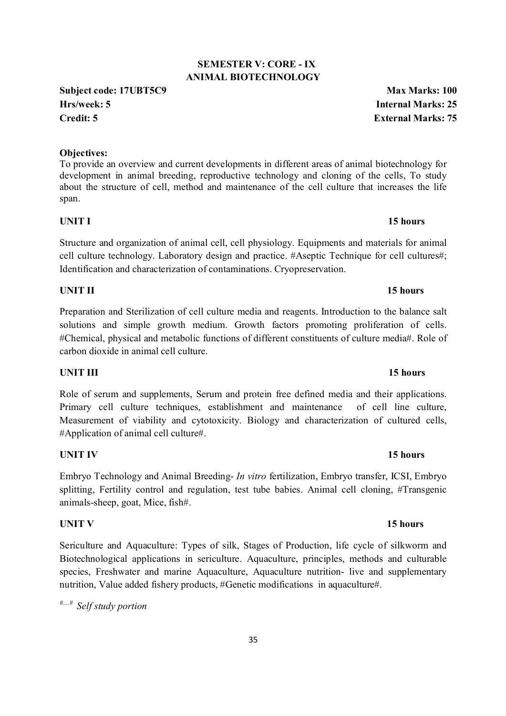### **SEMESTER V: CORE - IX ANIMAL BIOTECHNOLOGY**

**Subject code: 17UBT5C9 Max Marks: 100 Hrs/week: 5 Internal Marks: 25 Credit: 5 External Marks: 75**

### **Objectives:**

To provide an overview and current developments in different areas of animal biotechnology for development in animal breeding, reproductive technology and cloning of the cells, To study about the structure of cell, method and maintenance of the cell culture that increases the life span.

### **UNIT I** 15 hours

Structure and organization of animal cell, cell physiology. Equipments and materials for animal cell culture technology. Laboratory design and practice. #Aseptic Technique for cell cultures#; Identification and characterization of contaminations. Cryopreservation.

### **UNIT II** 15 hours

Preparation and Sterilization of cell culture media and reagents. Introduction to the balance salt solutions and simple growth medium. Growth factors promoting proliferation of cells. #Chemical, physical and metabolic functions of different constituents of culture media#. Role of carbon dioxide in animal cell culture.

### **UNIT III** 15 hours

Role of serum and supplements, Serum and protein free defined media and their applications. Primary cell culture techniques, establishment and maintenance of cell line culture, Measurement of viability and cytotoxicity. Biology and characterization of cultured cells, #Application of animal cell culture#.

### **UNIT IV** 15 hours

Embryo Technology and Animal Breeding- *In vitro* fertilization, Embryo transfer, ICSI, Embryo splitting, Fertility control and regulation, test tube babies. Animal cell cloning, #Transgenic animals-sheep, goat, Mice, fish#.

### **UNIT V** 15 hours

Sericulture and Aquaculture: Types of silk, Stages of Production, life cycle of silkworm and Biotechnological applications in sericulture. Aquaculture, principles, methods and culturable species, Freshwater and marine Aquaculture, Aquaculture nutrition- live and supplementary nutrition, Value added fishery products, #Genetic modifications in aquaculture#.

*#....# Self study portion* 

#### 35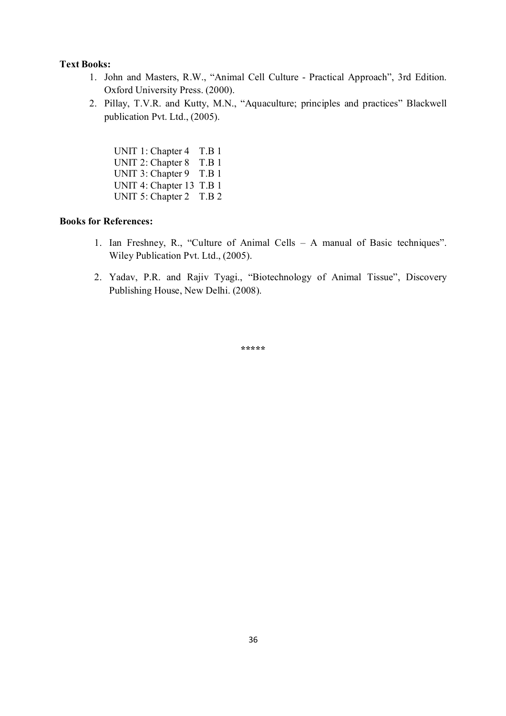- 1. John and Masters, R.W., "Animal Cell Culture Practical Approach", 3rd Edition. Oxford University Press. (2000).
- 2. Pillay, T.V.R. and Kutty, M.N., "Aquaculture; principles and practices" Blackwell publication Pvt. Ltd., (2005).

UNIT 1: Chapter 4 T.B 1 UNIT 2: Chapter 8 T.B 1 UNIT 3: Chapter 9 T.B 1 UNIT 4: Chapter 13 T.B 1 UNIT 5: Chapter 2 T.B 2

### **Books for References:**

- 1. Ian Freshney, R., "Culture of Animal Cells A manual of Basic techniques". Wiley Publication Pvt. Ltd., (2005).
- 2. Yadav, P.R. and Rajiv Tyagi., "Biotechnology of Animal Tissue", Discovery Publishing House, New Delhi. (2008).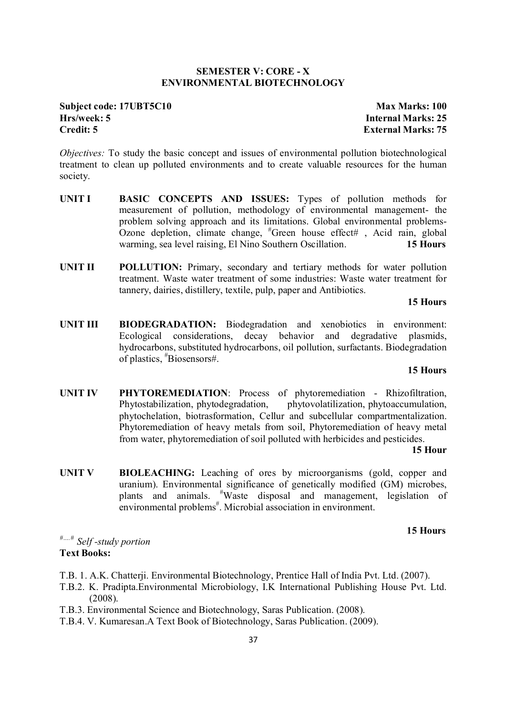#### **SEMESTER V: CORE - X ENVIRONMENTAL BIOTECHNOLOGY**

### **Subject code: 17UBT5C10 Max Marks: 100 Hrs/week: 5 Internal Marks: 25 Credit: 5 External Marks: 75**

*Objectives:* To study the basic concept and issues of environmental pollution biotechnological treatment to clean up polluted environments and to create valuable resources for the human society.

- **UNIT I BASIC CONCEPTS AND ISSUES:** Types of pollution methods for measurement of pollution, methodology of environmental management- the problem solving approach and its limitations. Global environmental problems-Ozone depletion, climate change, "Green house effect#, Acid rain, global warming, sea level raising, El Nino Southern Oscillation. **15 Hours**
- **UNIT II POLLUTION:** Primary, secondary and tertiary methods for water pollution treatment. Waste water treatment of some industries: Waste water treatment for tannery, dairies, distillery, textile, pulp, paper and Antibiotics.

#### **15 Hours**

**UNIT III BIODEGRADATION:** Biodegradation and xenobiotics in environment: Ecological considerations, decay behavior and degradative plasmids, hydrocarbons, substituted hydrocarbons, oil pollution, surfactants. Biodegradation of plastics, # Biosensors#.

#### **15 Hours**

**UNIT IV PHYTOREMEDIATION**: Process of phytoremediation - Rhizofiltration, Phytostabilization, phytodegradation, phytovolatilization, phytoaccumulation, phytochelation, biotrasformation, Cellur and subcellular compartmentalization. Phytoremediation of heavy metals from soil, Phytoremediation of heavy metal from water, phytoremediation of soil polluted with herbicides and pesticides.

#### **15 Hour**

**UNIT V BIOLEACHING:** Leaching of ores by microorganisms (gold, copper and uranium). Environmental significance of genetically modified (GM) microbes, plants and animals. # Waste disposal and management, legislation of environmental problems<sup>#</sup>. Microbial association in environment.

#### **15 Hours**

*#….# Self -study portion*

#### **Text Books:**

- T.B. 1. A.K. Chatterji. Environmental Biotechnology, Prentice Hall of India Pvt. Ltd. (2007).
- T.B.2. K. Pradipta.Environmental Microbiology, I.K International Publishing House Pvt. Ltd. (2008).
- T.B.3. Environmental Science and Biotechnology, Saras Publication. (2008).
- T.B.4. V. Kumaresan.A Text Book of Biotechnology, Saras Publication. (2009).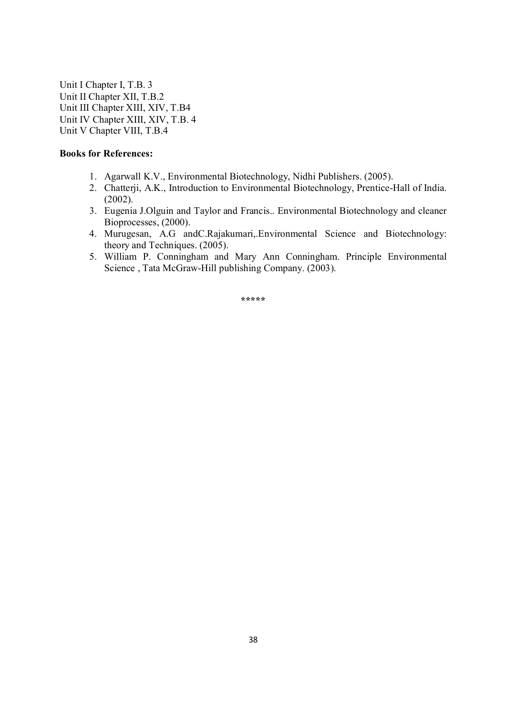Unit I Chapter I, T.B. 3 Unit II Chapter XII, T.B.2 Unit III Chapter XIII, XIV, T.B4 Unit IV Chapter XIII, XIV, T.B. 4 Unit V Chapter VIII, T.B.4

#### **Books for References:**

- 1. Agarwall K.V., Environmental Biotechnology, Nidhi Publishers. (2005).
- 2. Chatterji, A.K., Introduction to Environmental Biotechnology, Prentice-Hall of India. (2002).
- 3. Eugenia J.Olguin and Taylor and Francis.. Environmental Biotechnology and cleaner Bioprocesses, (2000).
- 4. Murugesan, A.G andC.Rajakumari,.Environmental Science and Biotechnology: theory and Techniques. (2005).
- 5. William P. Conningham and Mary Ann Conningham. Principle Environmental Science , Tata McGraw-Hill publishing Company. (2003).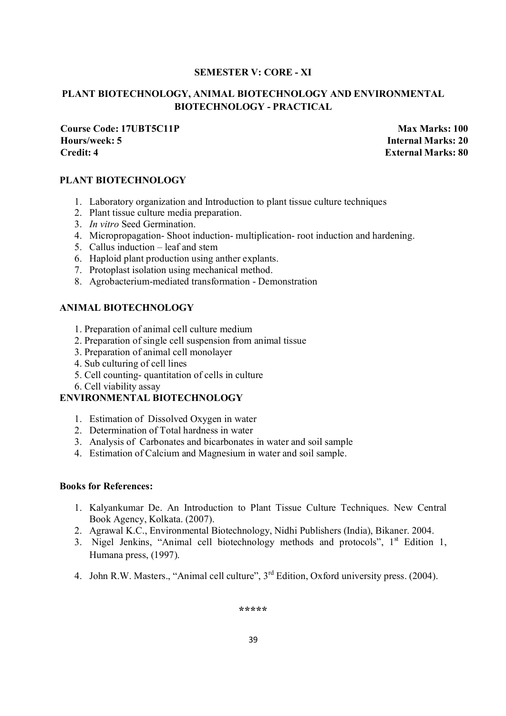### **SEMESTER V: CORE - XI**

### **PLANT BIOTECHNOLOGY, ANIMAL BIOTECHNOLOGY AND ENVIRONMENTAL BIOTECHNOLOGY - PRACTICAL**

**Course Code: 17UBT5C11P Max Marks: 100 Hours/week: 5 Internal Marks: 20 Credit: 4 External Marks: 80**

#### **PLANT BIOTECHNOLOGY**

- 1. Laboratory organization and Introduction to plant tissue culture techniques
- 2. Plant tissue culture media preparation.
- 3. *In vitro* Seed Germination.
- 4. Micropropagation- Shoot induction- multiplication- root induction and hardening.
- 5. Callus induction leaf and stem
- 6. Haploid plant production using anther explants.
- 7. Protoplast isolation using mechanical method.
- 8. Agrobacterium-mediated transformation Demonstration

### **ANIMAL BIOTECHNOLOGY**

- 1. Preparation of animal cell culture medium
- 2. Preparation of single cell suspension from animal tissue
- 3. Preparation of animal cell monolayer
- 4. Sub culturing of cell lines
- 5. Cell counting- quantitation of cells in culture
- 6. Cell viability assay

### **ENVIRONMENTAL BIOTECHNOLOGY**

- 1. Estimation of Dissolved Oxygen in water
- 2. Determination of Total hardness in water
- 3. Analysis of Carbonates and bicarbonates in water and soil sample
- 4. Estimation of Calcium and Magnesium in water and soil sample.

#### **Books for References:**

- 1. Kalyankumar De. An Introduction to Plant Tissue Culture Techniques. New Central Book Agency, Kolkata. (2007).
- 2. Agrawal K.C., Environmental Biotechnology, Nidhi Publishers (India), Bikaner. 2004.
- 3. Nigel Jenkins, "Animal cell biotechnology methods and protocols",  $1<sup>st</sup>$  Edition 1, Humana press, (1997).
- 4. John R.W. Masters., "Animal cell culture", 3<sup>rd</sup> Edition, Oxford university press. (2004).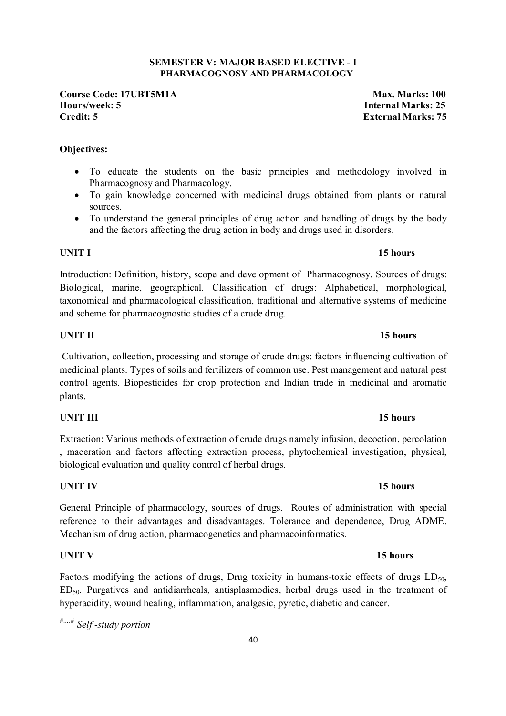### **SEMESTER V: MAJOR BASED ELECTIVE - I PHARMACOGNOSY AND PHARMACOLOGY**

**Course Code: 17UBT5M1A** Max. Marks: 100 **Hours/week: 5 Internal Marks: 25 Credit: 5 External Marks: 75** 

### **Objectives:**

- To educate the students on the basic principles and methodology involved in Pharmacognosy and Pharmacology.
- To gain knowledge concerned with medicinal drugs obtained from plants or natural sources.
- To understand the general principles of drug action and handling of drugs by the body and the factors affecting the drug action in body and drugs used in disorders.

### **UNIT I** 15 hours

Introduction: Definition, history, scope and development of Pharmacognosy. Sources of drugs: Biological, marine, geographical. Classification of drugs: Alphabetical, morphological, taxonomical and pharmacological classification, traditional and alternative systems of medicine and scheme for pharmacognostic studies of a crude drug.

### **UNIT II** 15 hours

 Cultivation, collection, processing and storage of crude drugs: factors influencing cultivation of medicinal plants. Types of soils and fertilizers of common use. Pest management and natural pest control agents. Biopesticides for crop protection and Indian trade in medicinal and aromatic plants.

### **UNIT III** 15 hours

Extraction: Various methods of extraction of crude drugs namely infusion, decoction, percolation , maceration and factors affecting extraction process, phytochemical investigation, physical, biological evaluation and quality control of herbal drugs.

### **UNIT IV** 15 hours

General Principle of pharmacology, sources of drugs. Routes of administration with special reference to their advantages and disadvantages. Tolerance and dependence, Drug ADME. Mechanism of drug action, pharmacogenetics and pharmacoinformatics.

Factors modifying the actions of drugs, Drug toxicity in humans-toxic effects of drugs  $LD_{50}$ , ED50. Purgatives and antidiarrheals, antisplasmodics, herbal drugs used in the treatment of hyperacidity, wound healing, inflammation, analgesic, pyretic, diabetic and cancer.

*#….# Self -study portion*

### **UNIT V** 15 hours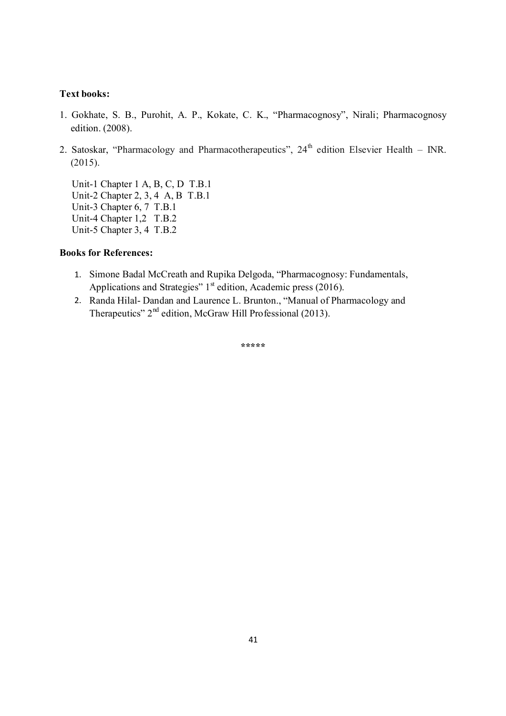- 1. Gokhate, S. B., Purohit, A. P., Kokate, C. K., "Pharmacognosy", Nirali; Pharmacognosy edition. (2008).
- 2. Satoskar, "Pharmacology and Pharmacotherapeutics",  $24<sup>th</sup>$  edition Elsevier Health INR. (2015).

 Unit-1 Chapter 1 A, B, C, D T.B.1 Unit-2 Chapter 2, 3, 4 A, B T.B.1 Unit-3 Chapter 6, 7 T.B.1 Unit-4 Chapter 1,2 T.B.2 Unit-5 Chapter 3, 4 T.B.2

#### **Books for References:**

- 1. Simone Badal McCreath and Rupika Delgoda, "Pharmacognosy: Fundamentals, Applications and Strategies"  $1<sup>st</sup>$  edition, Academic press (2016).
- 2. Randa Hilal- Dandan and Laurence L. Brunton., "Manual of Pharmacology and Therapeutics"  $2<sup>nd</sup>$  edition, McGraw Hill Professional (2013).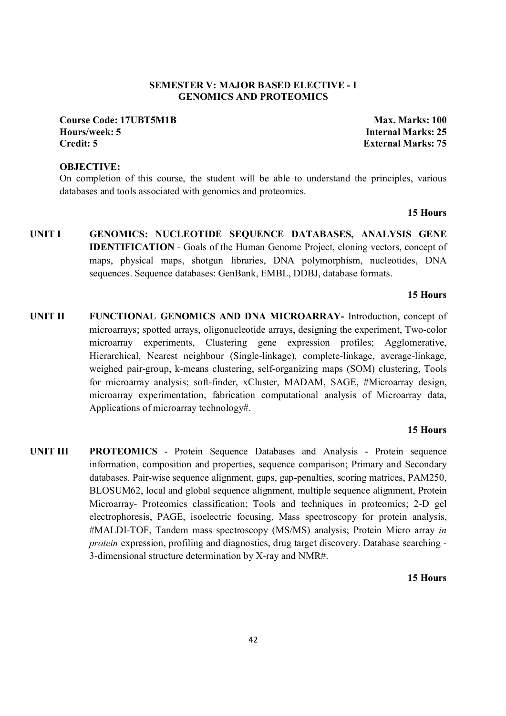#### **SEMESTER V: MAJOR BASED ELECTIVE - I GENOMICS AND PROTEOMICS**

#### **Course Code: 17UBT5M1B Max. Marks: 100 Hours/week: 5 Internal Marks: 25 Credit: 5 External Marks: 75**

### **OBJECTIVE:**

On completion of this course, the student will be able to understand the principles, various databases and tools associated with genomics and proteomics.

**15 Hours**

**UNIT I GENOMICS: NUCLEOTIDE SEQUENCE DATABASES, ANALYSIS GENE IDENTIFICATION** - Goals of the Human Genome Project, cloning vectors, concept of maps, physical maps, shotgun libraries, DNA polymorphism, nucleotides, DNA sequences. Sequence databases: GenBank, EMBL, DDBJ, database formats.

#### **15 Hours**

**UNIT II FUNCTIONAL GENOMICS AND DNA MICROARRAY-** Introduction, concept of microarrays; spotted arrays, oligonucleotide arrays, designing the experiment, Two-color microarray experiments, Clustering gene expression profiles; Agglomerative, Hierarchical, Nearest neighbour (Single-linkage), complete-linkage, average-linkage, weighed pair-group, k-means clustering, self-organizing maps (SOM) clustering, Tools for microarray analysis; soft-finder, xCluster, MADAM, SAGE, #Microarray design, microarray experimentation, fabrication computational analysis of Microarray data, Applications of microarray technology#.

#### **15 Hours**

**UNIT III PROTEOMICS** - Protein Sequence Databases and Analysis - Protein sequence information, composition and properties, sequence comparison; Primary and Secondary databases. Pair-wise sequence alignment, gaps, gap-penalties, scoring matrices, PAM250, BLOSUM62, local and global sequence alignment, multiple sequence alignment, Protein Microarray- Proteomics classification; Tools and techniques in proteomics; 2-D gel electrophoresis, PAGE, isoelectric focusing, Mass spectroscopy for protein analysis, #MALDI-TOF, Tandem mass spectroscopy (MS/MS) analysis; Protein Micro array *in protein* expression, profiling and diagnostics, drug target discovery. Database searching - 3-dimensional structure determination by X-ray and NMR#.

#### **15 Hours**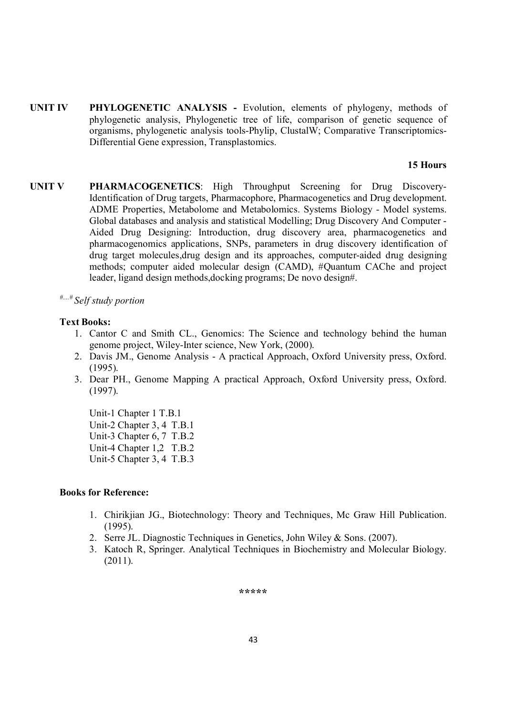**UNIT IV PHYLOGENETIC ANALYSIS -** Evolution, elements of phylogeny, methods of phylogenetic analysis, Phylogenetic tree of life, comparison of genetic sequence of organisms, phylogenetic analysis tools-Phylip, ClustalW; Comparative Transcriptomics-Differential Gene expression, Transplastomics.

#### **15 Hours**

- **UNIT V PHARMACOGENETICS**: High Throughput Screening for Drug Discovery-Identification of Drug targets, Pharmacophore, Pharmacogenetics and Drug development. ADME Properties, Metabolome and Metabolomics. Systems Biology - Model systems. Global databases and analysis and statistical Modelling; Drug Discovery And Computer - Aided Drug Designing: Introduction, drug discovery area, pharmacogenetics and pharmacogenomics applications, SNPs, parameters in drug discovery identification of drug target molecules,drug design and its approaches, computer-aided drug designing methods; computer aided molecular design (CAMD), #Quantum CAChe and project leader, ligand design methods,docking programs; De novo design#.
	- *#....# Self study portion*

#### **Text Books:**

- 1. Cantor C and Smith CL., Genomics: The Science and technology behind the human genome project, Wiley-Inter science, New York, (2000).
- 2. Davis JM., Genome Analysis A practical Approach, Oxford University press, Oxford. (1995).
- 3. Dear PH., Genome Mapping A practical Approach, Oxford University press, Oxford. (1997).

 Unit-1 Chapter 1 T.B.1 Unit-2 Chapter 3, 4 T.B.1 Unit-3 Chapter 6, 7 T.B.2 Unit-4 Chapter 1,2 T.B.2 Unit-5 Chapter 3, 4 T.B.3

#### **Books for Reference:**

- 1. Chirikjian JG., Biotechnology: Theory and Techniques, Mc Graw Hill Publication. (1995).
- 2. Serre JL. Diagnostic Techniques in Genetics, John Wiley & Sons. (2007).
- 3. Katoch R, Springer. Analytical Techniques in Biochemistry and Molecular Biology. (2011).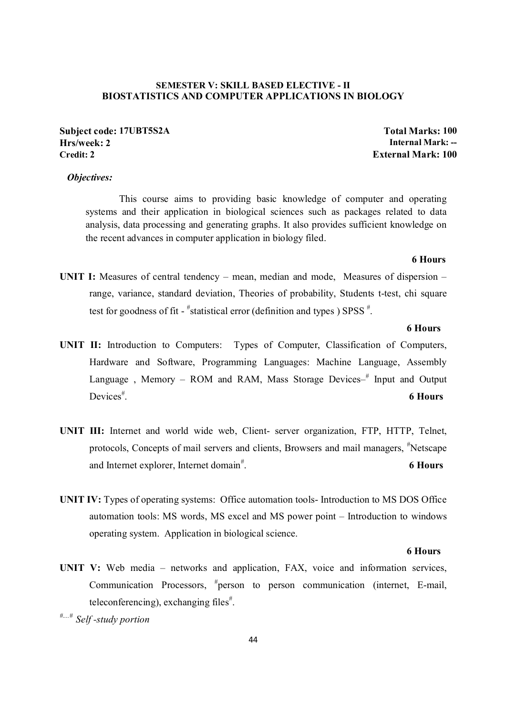#### **SEMESTER V: SKILL BASED ELECTIVE - II BIOSTATISTICS AND COMPUTER APPLICATIONS IN BIOLOGY**

**Subject code: 17UBT5S2A Total Marks: 100 Hrs/week: 2 Internal Mark: --**

#### *Objectives:*

This course aims to providing basic knowledge of computer and operating systems and their application in biological sciences such as packages related to data analysis, data processing and generating graphs. It also provides sufficient knowledge on the recent advances in computer application in biology filed.

#### **6 Hours**

**UNIT I:** Measures of central tendency – mean, median and mode, Measures of dispersion – range, variance, standard deviation, Theories of probability, Students t-test, chi square test for goodness of fit -  $*$  statistical error (definition and types) SPSS  $*$ .

#### **6 Hours**

- **UNIT II:** Introduction to Computers: Types of Computer, Classification of Computers, Hardware and Software, Programming Languages: Machine Language, Assembly Language, Memory – ROM and RAM, Mass Storage Devices-<sup>#</sup> Input and Output Devices $#$ . . **6 Hours**
- **UNIT III:** Internet and world wide web, Client- server organization, FTP, HTTP, Telnet, protocols, Concepts of mail servers and clients, Browsers and mail managers, <sup>#</sup>Netscape and Internet explorer, Internet domain<sup>#</sup>. . **6 Hours**
- **UNIT IV:** Types of operating systems: Office automation tools- Introduction to MS DOS Office automation tools: MS words, MS excel and MS power point – Introduction to windows operating system. Application in biological science.

#### **6 Hours**

**UNIT V:** Web media – networks and application, FAX, voice and information services, Communication Processors, # person to person communication (internet, E-mail, teleconferencing), exchanging files<sup>#</sup>.

*#....# Self -study portion* 

**External Mark: 100**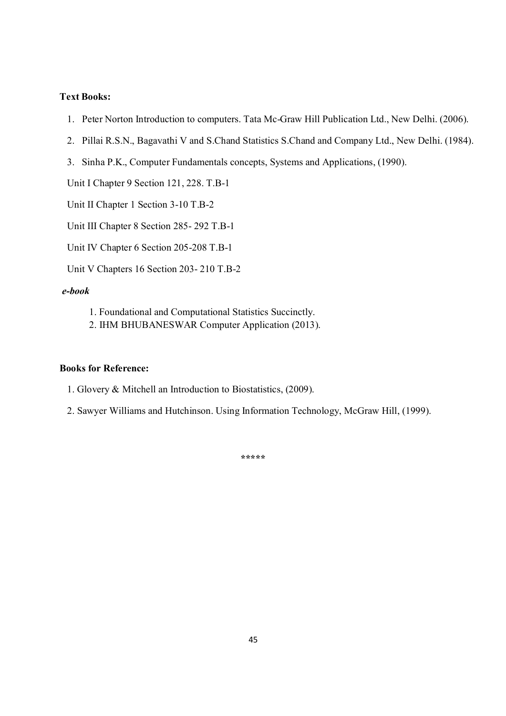- 1. Peter Norton Introduction to computers. Tata Mc-Graw Hill Publication Ltd., New Delhi. (2006).
- 2. Pillai R.S.N., Bagavathi V and S.Chand Statistics S.Chand and Company Ltd., New Delhi. (1984).
- 3. Sinha P.K., Computer Fundamentals concepts, Systems and Applications, (1990).

Unit I Chapter 9 Section 121, 228. T.B-1

Unit II Chapter 1 Section 3-10 T.B-2

Unit III Chapter 8 Section 285- 292 T.B-1

Unit IV Chapter 6 Section 205-208 T.B-1

Unit V Chapters 16 Section 203- 210 T.B-2

#### *e-book*

- 1. Foundational and Computational Statistics Succinctly.
- 2. IHM BHUBANESWAR Computer Application (2013).

### **Books for Reference:**

- 1. Glovery & Mitchell an Introduction to Biostatistics, (2009).
- 2. Sawyer Williams and Hutchinson. Using Information Technology, McGraw Hill, (1999).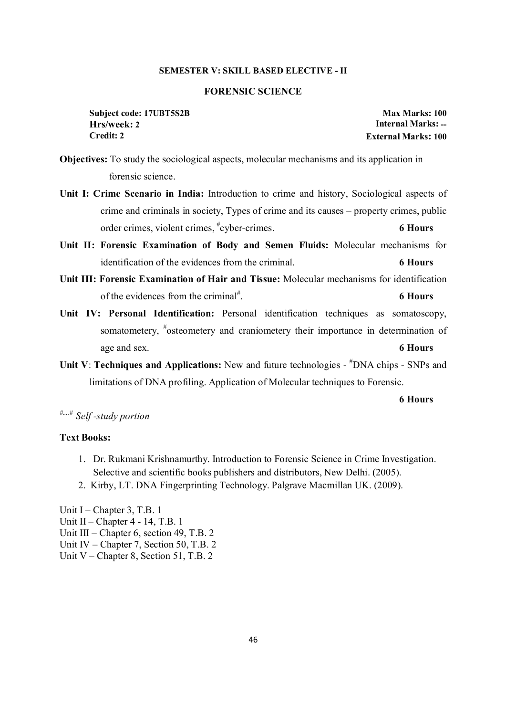#### **SEMESTER V: SKILL BASED ELECTIVE - II**

#### **FORENSIC SCIENCE**

**Subject code: 17UBT5S2B Max Marks: 100 Hrs/week: 2 Internal Marks: -- Credit: 2 External Marks: 100**

**Objectives:** To study the sociological aspects, molecular mechanisms and its application in forensic science.

- **Unit I: Crime Scenario in India:** Introduction to crime and history, Sociological aspects of crime and criminals in society, Types of crime and its causes – property crimes, public order crimes, violent crimes, # cyber-crimes. **6 Hours**
- **Unit II: Forensic Examination of Body and Semen Fluids:** Molecular mechanisms for identification of the evidences from the criminal. **6 Hours**
- **Unit III: Forensic Examination of Hair and Tissue:** Molecular mechanisms for identification of the evidences from the criminal<sup>#</sup>. . **6 Hours**
- **Unit IV: Personal Identification:** Personal identification techniques as somatoscopy, somatometery, "osteometery and craniometery their importance in determination of age and sex. **6 Hours**
- Unit V: Techniques and Applications: New and future technologies  $\textsuperscript{#}$ DNA chips SNPs and limitations of DNA profiling. Application of Molecular techniques to Forensic.

#### **6 Hours**

# *#....# Self -study portion*

#### **Text Books:**

- 1. Dr. Rukmani Krishnamurthy. Introduction to Forensic Science in Crime Investigation. Selective and scientific books publishers and distributors, New Delhi. (2005).
- 2. Kirby, LT. DNA Fingerprinting Technology. Palgrave Macmillan UK. (2009).

Unit I – Chapter 3, T.B. 1 Unit II – Chapter 4 - 14, T.B. 1 Unit III – Chapter 6, section 49, T.B. 2 Unit IV – Chapter 7, Section 50, T.B. 2 Unit V – Chapter 8, Section 51, T.B. 2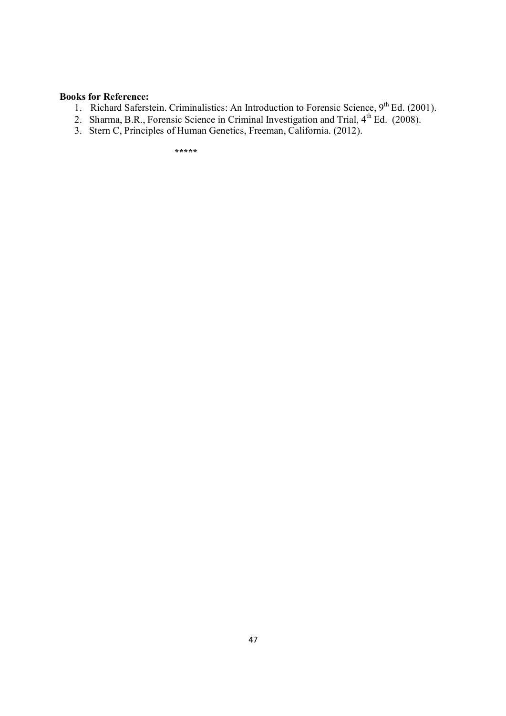#### **Books for Reference:**

- 1. Richard Saferstein. Criminalistics: An Introduction to Forensic Science,  $9<sup>th</sup> Ed. (2001)$ .
- 2. Sharma, B.R., Forensic Science in Criminal Investigation and Trial,  $4<sup>th</sup>$  Ed. (2008).
- 3. Stern C, Principles of Human Genetics, Freeman, California. (2012).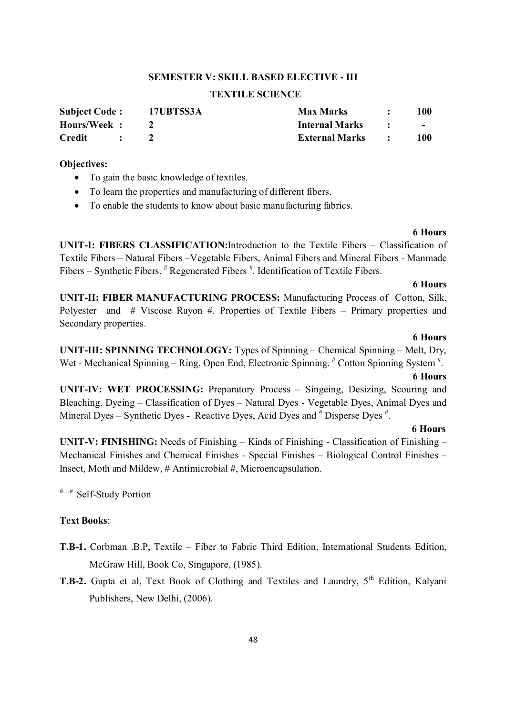#### **SEMESTER V: SKILL BASED ELECTIVE - III**

#### **TEXTILE SCIENCE**

| <b>Subject Code:</b> | <b>17UBT5S3A</b> | <b>Max Marks</b>      | 100    |
|----------------------|------------------|-----------------------|--------|
| Hours/Week:          |                  | <b>Internal Marks</b> | $\sim$ |
| <b>Credit</b>        |                  | <b>External Marks</b> | 100    |

#### **Objectives:**

- To gain the basic knowledge of textiles.
- To learn the properties and manufacturing of different fibers.
- To enable the students to know about basic manufacturing fabrics.

#### **6 Hours**

**UNIT-I: FIBERS CLASSIFICATION:**Introduction to the Textile Fibers – Classification of Textile Fibers – Natural Fibers –Vegetable Fibers, Animal Fibers and Mineral Fibers - Manmade Fibers – Synthetic Fibers,  $*$  Regenerated Fibers  $*$ . Identification of Textile Fibers.

#### **6 Hours**

**UNIT-II: FIBER MANUFACTURING PROCESS:** Manufacturing Process of Cotton, Silk, Polyester and # Viscose Rayon #. Properties of Textile Fibers – Primary properties and Secondary properties.

#### **6 Hours**

**UNIT-III: SPINNING TECHNOLOGY:** Types of Spinning – Chemical Spinning – Melt, Dry, Wet - Mechanical Spinning – Ring, Open End, Electronic Spinning. # Cotton Spinning System #.

#### **6 Hours**

**UNIT-IV: WET PROCESSING:** Preparatory Process – Singeing, Desizing, Scouring and Bleaching. Dyeing – Classification of Dyes – Natural Dyes - Vegetable Dyes, Animal Dyes and Mineral Dyes – Synthetic Dyes - Reactive Dyes, Acid Dyes and  $#$  Disperse Dyes  $#$ .

#### **6 Hours**

**UNIT-V: FINISHING:** Needs of Finishing – Kinds of Finishing - Classification of Finishing – Mechanical Finishes and Chemical Finishes - Special Finishes – Biological Control Finishes – Insect, Moth and Mildew, # Antimicrobial #, Microencapsulation.

*#....#* Self-Study Portion

#### **Text Books**:

- **T.B-1.** Corbman .B.P, Textile Fiber to Fabric Third Edition, International Students Edition, McGraw Hill, Book Co, Singapore, (1985).
- **T.B-2.** Gupta et al, Text Book of Clothing and Textiles and Laundry, 5<sup>th</sup> Edition, Kalyani Publishers, New Delhi, (2006).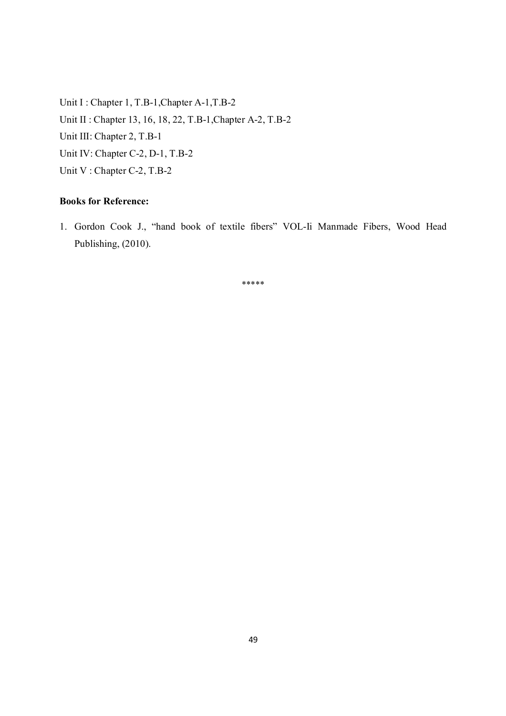Unit I : Chapter 1, T.B-1, Chapter A-1, T.B-2 Unit II : Chapter 13, 16, 18, 22, T.B-1,Chapter A-2, T.B-2 Unit III: Chapter 2, T.B-1 Unit IV: Chapter C-2, D-1, T.B-2 Unit V : Chapter C-2, T.B-2

### **Books for Reference:**

1. Gordon Cook J., "hand book of textile fibers" VOL-Ii Manmade Fibers, Wood Head Publishing, (2010).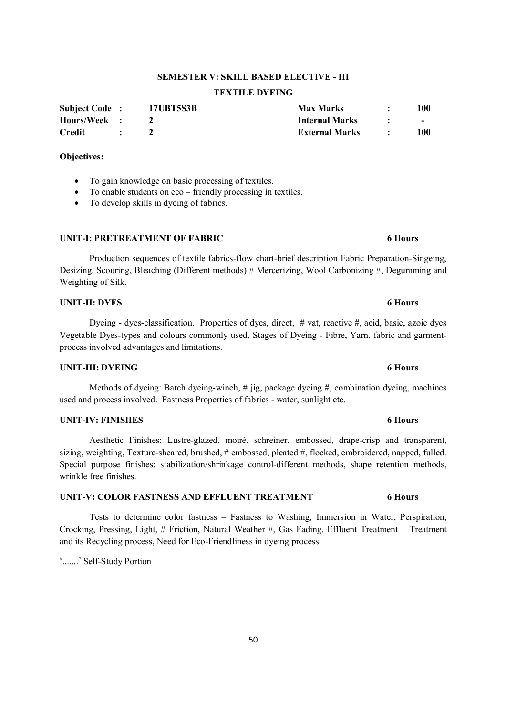#### 50

# **SEMESTER V: SKILL BASED ELECTIVE - III**

### **TEXTILE DYEING**

| <b>Subject Code:</b> |                          | 17UBT5S3B | <b>Max Marks</b>      | 100                             |
|----------------------|--------------------------|-----------|-----------------------|---------------------------------|
| Hours/Week :         |                          |           | <b>Internal Marks</b> | <b>Contract Contract Street</b> |
| Credit               | <b><i>Contractor</i></b> |           | <b>External Marks</b> | 100                             |

#### **Objectives:**

- To gain knowledge on basic processing of textiles.
- To enable students on eco friendly processing in textiles.
- To develop skills in dyeing of fabrics.

#### **UNIT-I: PRETREATMENT OF FABRIC 6 Hours**

 Production sequences of textile fabrics-flow chart-brief description Fabric Preparation-Singeing, Desizing, Scouring, Bleaching (Different methods) # Mercerizing, Wool Carbonizing #, Degumming and Weighting of Silk.

#### **UNIT-II: DYES 6 Hours**

 Dyeing - dyes-classification. Properties of dyes, direct, # vat, reactive #, acid, basic, azoic dyes Vegetable Dyes-types and colours commonly used, Stages of Dyeing - Fibre, Yarn, fabric and garmentprocess involved advantages and limitations.

#### **UNIT-III: DYEING 6 Hours**

 Methods of dyeing: Batch dyeing-winch, # jig, package dyeing #, combination dyeing, machines used and process involved. Fastness Properties of fabrics - water, sunlight etc.

#### **UNIT-IV: FINISHES 6 Hours**

 Aesthetic Finishes: Lustre-glazed, moiré, schreiner, embossed, drape-crisp and transparent, sizing, weighting, Texture-sheared, brushed,  $\#$  embossed, pleated  $\#$ , flocked, embroidered, napped, fulled. Special purpose finishes: stabilization/shrinkage control-different methods, shape retention methods, wrinkle free finishes.

#### **UNIT-V: COLOR FASTNESS AND EFFLUENT TREATMENT 6 Hours**

 Tests to determine color fastness – Fastness to Washing, Immersion in Water, Perspiration, Crocking, Pressing, Light, # Friction, Natural Weather #, Gas Fading. Effluent Treatment – Treatment and its Recycling process, Need for Eco-Friendliness in dyeing process.

# .......# Self-Study Portion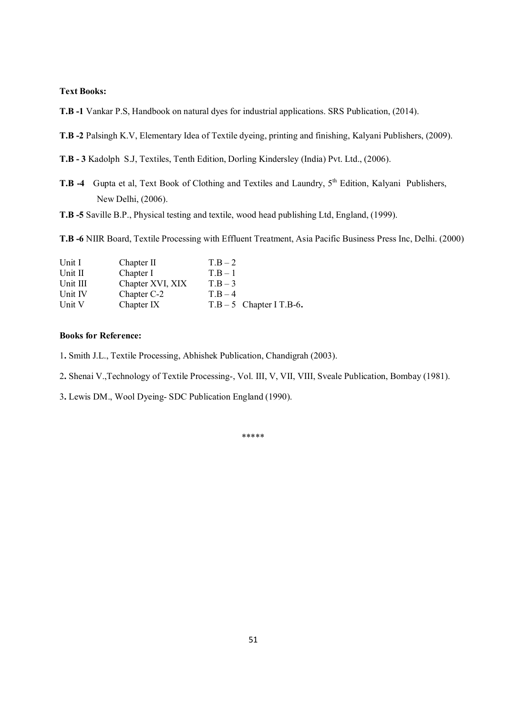**T.B -1** Vankar P.S, Handbook on natural dyes for industrial applications. SRS Publication, (2014).

**T.B -2** Palsingh K.V, Elementary Idea of Textile dyeing, printing and finishing, Kalyani Publishers, (2009).

**T.B - 3** Kadolph S.J, Textiles, Tenth Edition, Dorling Kindersley (India) Pvt. Ltd., (2006).

- **T.B -4** Gupta et al, Text Book of Clothing and Textiles and Laundry, 5<sup>th</sup> Edition, Kalyani Publishers, New Delhi, (2006).
- **T.B -5** Saville B.P., Physical testing and textile, wood head publishing Ltd, England, (1999).

**T.B -6** NIIR Board, Textile Processing with Effluent Treatment, Asia Pacific Business Press Inc, Delhi. (2000)

| Unit I   | Chapter II       | $T.B-2$                    |
|----------|------------------|----------------------------|
| Unit II  | Chapter I        | $T_{\rm B}-1$              |
| Unit III | Chapter XVI, XIX | $T.B-3$                    |
| Unit IV  | Chapter C-2      | $T B - 4$                  |
| Unit V   | Chapter IX       | $T.B - 5$ Chapter I T.B-6. |

#### **Books for Reference:**

1**.** Smith J.L., Textile Processing, Abhishek Publication, Chandigrah (2003).

2**.** Shenai V.,Technology of Textile Processing-, Vol. III, V, VII, VIII, Sveale Publication, Bombay (1981).

3**.** Lewis DM., Wool Dyeing- SDC Publication England (1990).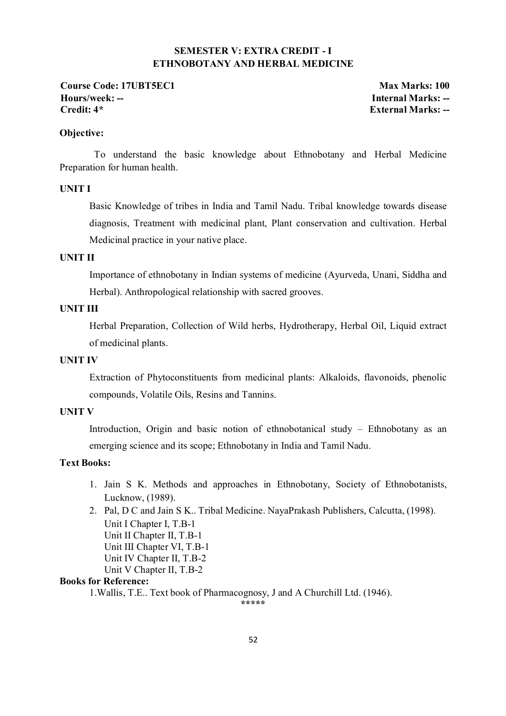### **SEMESTER V: EXTRA CREDIT - I ETHNOBOTANY AND HERBAL MEDICINE**

**Course Code: 17UBT5EC1 Max Marks: 100 Hours/week: -- Internal Marks: --**

**Credit: 4\* External Marks: --**

#### **Objective:**

 To understand the basic knowledge about Ethnobotany and Herbal Medicine Preparation for human health.

#### **UNIT I**

Basic Knowledge of tribes in India and Tamil Nadu. Tribal knowledge towards disease diagnosis, Treatment with medicinal plant, Plant conservation and cultivation. Herbal Medicinal practice in your native place.

### **UNIT II**

Importance of ethnobotany in Indian systems of medicine (Ayurveda, Unani, Siddha and Herbal). Anthropological relationship with sacred grooves.

#### **UNIT III**

Herbal Preparation, Collection of Wild herbs, Hydrotherapy, Herbal Oil, Liquid extract of medicinal plants.

### **UNIT IV**

Extraction of Phytoconstituents from medicinal plants: Alkaloids, flavonoids, phenolic compounds, Volatile Oils, Resins and Tannins.

#### **UNIT V**

Introduction, Origin and basic notion of ethnobotanical study – Ethnobotany as an emerging science and its scope; Ethnobotany in India and Tamil Nadu.

### **Text Books:**

- 1. Jain S K. Methods and approaches in Ethnobotany, Society of Ethnobotanists, Lucknow, (1989).
- 2. Pal, D C and Jain S K.. Tribal Medicine. NayaPrakash Publishers, Calcutta, (1998). Unit I Chapter I, T.B-1 Unit II Chapter II, T.B-1 Unit III Chapter VI, T.B-1 Unit IV Chapter II, T.B-2 Unit V Chapter II, T.B-2

### **Books for Reference:**

1.Wallis, T.E.. Text book of Pharmacognosy, J and A Churchill Ltd. (1946).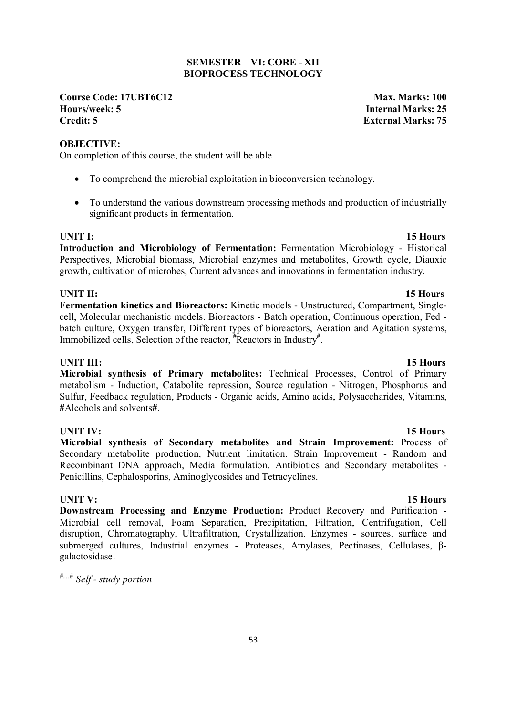#### 53

#### **SEMESTER – VI: CORE - XII BIOPROCESS TECHNOLOGY**

**Course Code: 17UBT6C12 Max. Marks: 100 Hours/week: 5**<br>Credit: 5<br>**Credit: 5**<br>Ryternal Marks: 25

#### **OBJECTIVE:**

On completion of this course, the student will be able

- To comprehend the microbial exploitation in bioconversion technology.
- To understand the various downstream processing methods and production of industrially significant products in fermentation.

**UNIT I:** 15 Hours **Introduction and Microbiology of Fermentation:** Fermentation Microbiology - Historical Perspectives, Microbial biomass, Microbial enzymes and metabolites, Growth cycle, Diauxic growth, cultivation of microbes, Current advances and innovations in fermentation industry.

### **UNIT II:** 15 Hours

**Fermentation kinetics and Bioreactors:** Kinetic models - Unstructured, Compartment, Singlecell, Molecular mechanistic models. Bioreactors - Batch operation, Continuous operation, Fed batch culture, Oxygen transfer, Different types of bioreactors, Aeration and Agitation systems, Immobilized cells, Selection of the reactor, **#** Reactors in Industry**#** .

**UNIT III:** 15 Hours **Microbial synthesis of Primary metabolites:** Technical Processes, Control of Primary metabolism - Induction, Catabolite repression, Source regulation - Nitrogen, Phosphorus and Sulfur, Feedback regulation, Products - Organic acids, Amino acids, Polysaccharides, Vitamins, **#**Alcohols and solvents**#**.

**UNIT IV:** 15 Hours **Microbial synthesis of Secondary metabolites and Strain Improvement:** Process of Secondary metabolite production, Nutrient limitation. Strain Improvement - Random and Recombinant DNA approach, Media formulation. Antibiotics and Secondary metabolites - Penicillins, Cephalosporins, Aminoglycosides and Tetracyclines.

**UNIT V:** 15 Hours **Downstream Processing and Enzyme Production:** Product Recovery and Purification - Microbial cell removal, Foam Separation, Precipitation, Filtration, Centrifugation, Cell disruption, Chromatography, Ultrafiltration, Crystallization. Enzymes - sources, surface and submerged cultures, Industrial enzymes - Proteases, Amylases, Pectinases, Cellulases, βgalactosidase.

*#....# Self - study portion* 

# **Credit: 5 External Marks: 75**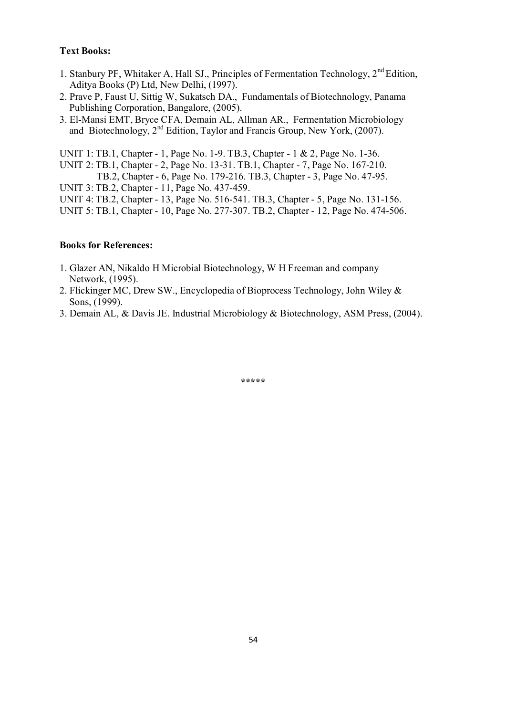- 1. Stanbury PF, Whitaker A, Hall SJ., Principles of Fermentation Technology, 2<sup>nd</sup> Edition, Aditya Books (P) Ltd, New Delhi, (1997).
- 2. Prave P, Faust U, Sittig W, Sukatsch DA., Fundamentals of Biotechnology, Panama Publishing Corporation, Bangalore, (2005).
- 3. El-Mansi EMT, Bryce CFA, Demain AL, Allman AR., Fermentation Microbiology and Biotechnology,  $2<sup>nd</sup>$  Edition, Taylor and Francis Group, New York, (2007).

UNIT 1: TB.1, Chapter - 1, Page No. 1-9. TB.3, Chapter - 1 & 2, Page No. 1-36.

UNIT 2: TB.1, Chapter - 2, Page No. 13-31. TB.1, Chapter - 7, Page No. 167-210.

TB.2, Chapter - 6, Page No. 179-216. TB.3, Chapter - 3, Page No. 47-95.

UNIT 3: TB.2, Chapter - 11, Page No. 437-459.

- UNIT 4: TB.2, Chapter 13, Page No. 516-541. TB.3, Chapter 5, Page No. 131-156.
- UNIT 5: TB.1, Chapter 10, Page No. 277-307. TB.2, Chapter 12, Page No. 474-506.

#### **Books for References:**

- 1. Glazer AN, Nikaldo H Microbial Biotechnology, W H Freeman and company Network, (1995).
- 2. Flickinger MC, Drew SW., Encyclopedia of Bioprocess Technology, John Wiley & Sons, (1999).
- 3. Demain AL, & Davis JE. Industrial Microbiology & Biotechnology, ASM Press, (2004).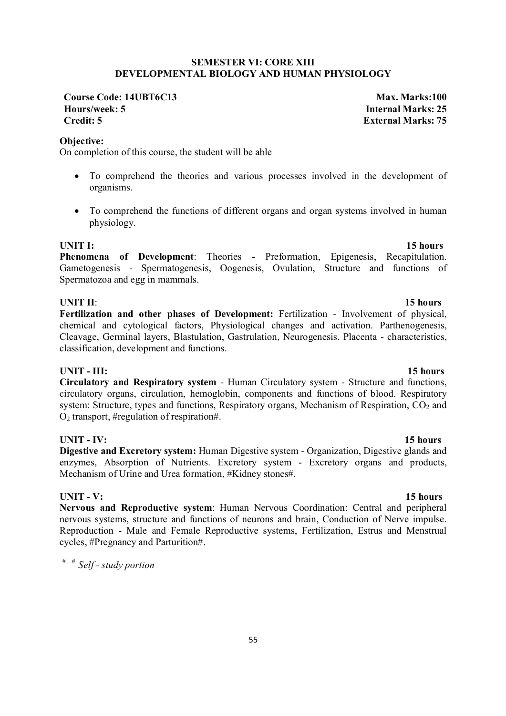### **SEMESTER VI: CORE XIII DEVELOPMENTAL BIOLOGY AND HUMAN PHYSIOLOGY**

**Course Code: 14UBT6C13 Max. Marks:100 Hours/week: 5 Internal Marks: 25 Credit: 5 External Marks: 75**

**Objective:** 

On completion of this course, the student will be able

- To comprehend the theories and various processes involved in the development of organisms.
- To comprehend the functions of different organs and organ systems involved in human physiology.

**UNIT I:** 15 hours **Phenomena of Development**: Theories - Preformation, Epigenesis, Recapitulation. Gametogenesis - Spermatogenesis, Oogenesis, Ovulation, Structure and functions of Spermatozoa and egg in mammals.

### **UNIT II**: **15 hours**

**Fertilization and other phases of Development:** Fertilization - Involvement of physical, chemical and cytological factors, Physiological changes and activation. Parthenogenesis, Cleavage, Germinal layers, Blastulation, Gastrulation, Neurogenesis. Placenta - characteristics, classification, development and functions.

**UNIT - III:** 15 hours **Circulatory and Respiratory system** - Human Circulatory system - Structure and functions, circulatory organs, circulation, hemoglobin, components and functions of blood. Respiratory system: Structure, types and functions, Respiratory organs, Mechanism of Respiration,  $CO<sub>2</sub>$  and  $O<sub>2</sub>$  transport, #regulation of respiration#.

### **UNIT - IV:** 15 hours

**Digestive and Excretory system:** Human Digestive system - Organization, Digestive glands and enzymes, Absorption of Nutrients. Excretory system - Excretory organs and products, Mechanism of Urine and Urea formation, #Kidney stones#.

### **UNIT - V: 15 hours**

**Nervous and Reproductive system**: Human Nervous Coordination: Central and peripheral nervous systems, structure and functions of neurons and brain, Conduction of Nerve impulse. Reproduction - Male and Female Reproductive systems, Fertilization, Estrus and Menstrual cycles, #Pregnancy and Parturition#.

*#....# Self - study portion*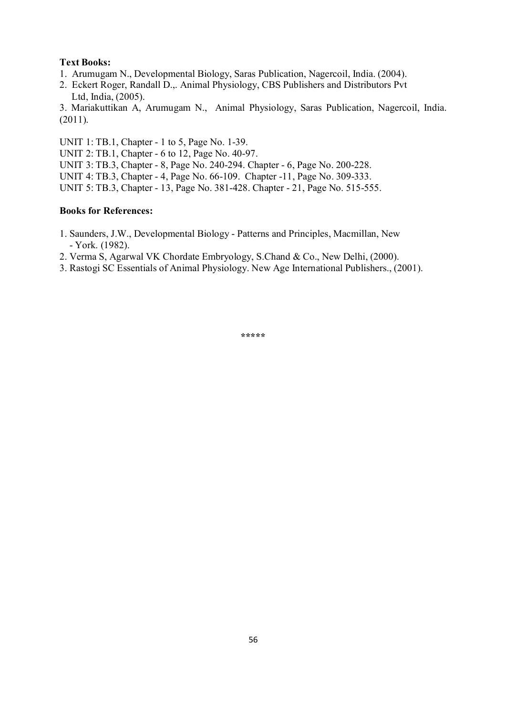- 1. Arumugam N., Developmental Biology, Saras Publication, Nagercoil, India. (2004).
- 2. Eckert Roger, Randall D.,. Animal Physiology, CBS Publishers and Distributors Pvt Ltd, India, (2005).

3. Mariakuttikan A, Arumugam N., Animal Physiology, Saras Publication, Nagercoil, India. (2011).

UNIT 1: TB.1, Chapter - 1 to 5, Page No. 1-39.

UNIT 2: TB.1, Chapter - 6 to 12, Page No. 40-97.

UNIT 3: TB.3, Chapter - 8, Page No. 240-294. Chapter - 6, Page No. 200-228.

UNIT 4: TB.3, Chapter - 4, Page No. 66-109. Chapter -11, Page No. 309-333.

UNIT 5: TB.3, Chapter - 13, Page No. 381-428. Chapter - 21, Page No. 515-555.

### **Books for References:**

- 1. Saunders, J.W., Developmental Biology Patterns and Principles, Macmillan, New - York. (1982).
- 2. Verma S, Agarwal VK Chordate Embryology, S.Chand & Co., New Delhi, (2000).
- 3. Rastogi SC Essentials of Animal Physiology. New Age International Publishers., (2001).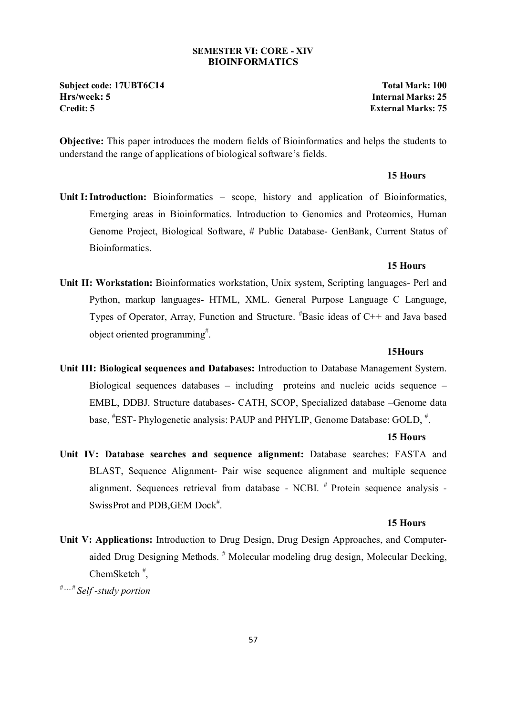#### **SEMESTER VI: CORE - XIV BIOINFORMATICS**

**Subject code: 17UBT6C14 Total Mark: 100 Hrs/week: 5 Internal Marks: 25 Credit: 5 External Marks: 75**

**Objective:** This paper introduces the modern fields of Bioinformatics and helps the students to understand the range of applications of biological software's fields.

#### **15 Hours**

Unit I: Introduction: Bioinformatics – scope, history and application of Bioinformatics, Emerging areas in Bioinformatics. Introduction to Genomics and Proteomics, Human Genome Project, Biological Software, # Public Database- GenBank, Current Status of **Bioinformatics** 

#### **15 Hours**

**Unit II: Workstation:** Bioinformatics workstation, Unix system, Scripting languages- Perl and Python, markup languages- HTML, XML. General Purpose Language C Language, Types of Operator, Array, Function and Structure. # Basic ideas of C++ and Java based object oriented programming<sup>#</sup>.

#### **15Hours**

**Unit III: Biological sequences and Databases:** Introduction to Database Management System. Biological sequences databases – including proteins and nucleic acids sequence – EMBL, DDBJ. Structure databases- CATH, SCOP, Specialized database –Genome data base, <sup>#</sup>EST-Phylogenetic analysis: PAUP and PHYLIP, Genome Database: GOLD, <sup>#</sup>.

#### **15 Hours**

**Unit IV: Database searches and sequence alignment:** Database searches: FASTA and BLAST, Sequence Alignment- Pair wise sequence alignment and multiple sequence alignment. Sequences retrieval from database - NCBI. # Protein sequence analysis - SwissProt and PDB, GEM Dock<sup>#</sup>.

#### **15 Hours**

**Unit V: Applications:** Introduction to Drug Design, Drug Design Approaches, and Computeraided Drug Designing Methods.<sup>#</sup> Molecular modeling drug design, Molecular Decking, ChemSketch # ,

*#…..# Self -study portion*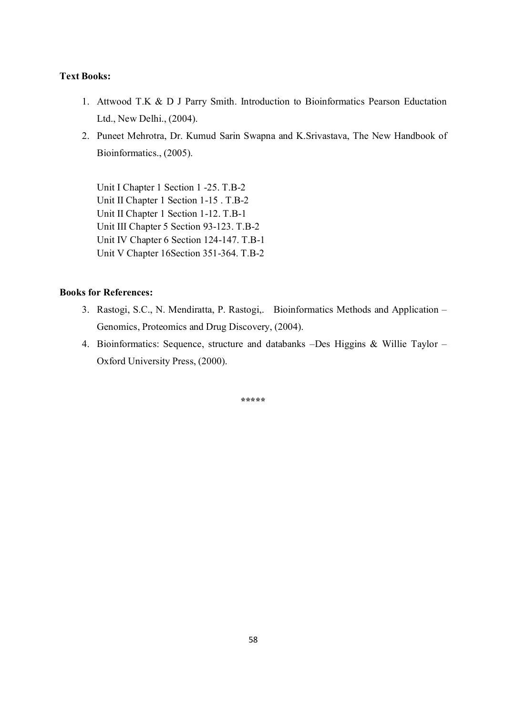- 1. Attwood T.K & D J Parry Smith. Introduction to Bioinformatics Pearson Eductation Ltd., New Delhi., (2004).
- 2. Puneet Mehrotra, Dr. Kumud Sarin Swapna and K.Srivastava, The New Handbook of Bioinformatics., (2005).

Unit I Chapter 1 Section 1 -25. T.B-2 Unit II Chapter 1 Section 1-15 . T.B-2 Unit II Chapter 1 Section 1-12. T.B-1 Unit III Chapter 5 Section 93-123. T.B-2 Unit IV Chapter 6 Section 124-147. T.B-1 Unit V Chapter 16Section 351-364. T.B-2

#### **Books for References:**

- 3. Rastogi, S.C., N. Mendiratta, P. Rastogi,. Bioinformatics Methods and Application Genomics, Proteomics and Drug Discovery, (2004).
- 4. Bioinformatics: Sequence, structure and databanks –Des Higgins & Willie Taylor Oxford University Press, (2000).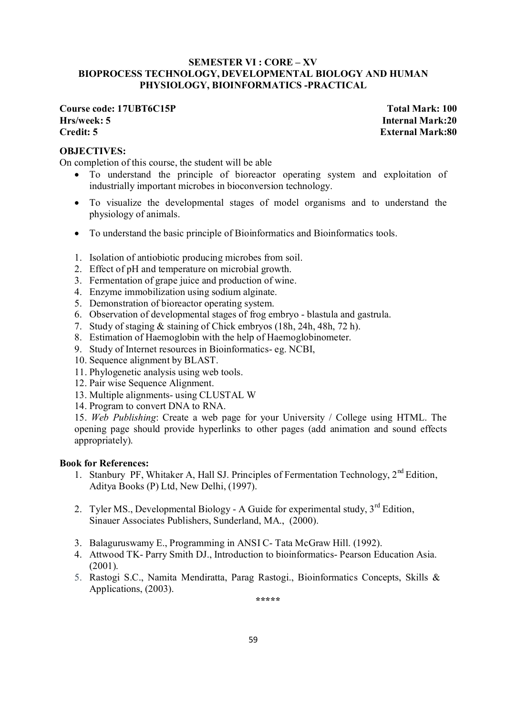#### **SEMESTER VI : CORE – XV BIOPROCESS TECHNOLOGY, DEVELOPMENTAL BIOLOGY AND HUMAN PHYSIOLOGY, BIOINFORMATICS -PRACTICAL**

### **Course code: 17UBT6C15P Total Mark: 100 Hrs/week: 5 Internal Mark:20 Credit: 5 External Mark:80**

#### **OBJECTIVES:**

On completion of this course, the student will be able

- To understand the principle of bioreactor operating system and exploitation of industrially important microbes in bioconversion technology.
- To visualize the developmental stages of model organisms and to understand the physiology of animals.
- To understand the basic principle of Bioinformatics and Bioinformatics tools.
- 1. Isolation of antiobiotic producing microbes from soil.
- 2. Effect of pH and temperature on microbial growth.
- 3. Fermentation of grape juice and production of wine.
- 4. Enzyme immobilization using sodium alginate.
- 5. Demonstration of bioreactor operating system.
- 6. Observation of developmental stages of frog embryo blastula and gastrula.
- 7. Study of staging & staining of Chick embryos (18h, 24h, 48h, 72 h).
- 8. Estimation of Haemoglobin with the help of Haemoglobinometer.
- 9. Study of Internet resources in Bioinformatics- eg. NCBI,
- 10. Sequence alignment by BLAST.
- 11. Phylogenetic analysis using web tools.
- 12. Pair wise Sequence Alignment.
- 13. Multiple alignments- using CLUSTAL W
- 14. Program to convert DNA to RNA.

15. *Web Publishing*: Create a web page for your University / College using HTML. The opening page should provide hyperlinks to other pages (add animation and sound effects appropriately).

#### **Book for References:**

- 1. Stanbury PF, Whitaker A, Hall SJ. Principles of Fermentation Technology,  $2^{nd}$  Edition, Aditya Books (P) Ltd, New Delhi, (1997).
- 2. Tyler MS., Developmental Biology A Guide for experimental study,  $3<sup>rd</sup>$  Edition, Sinauer Associates Publishers, Sunderland, MA., (2000).
- 3. Balaguruswamy E., Programming in ANSI C- Tata McGraw Hill. (1992).
- 4. Attwood TK- Parry Smith DJ., Introduction to bioinformatics- Pearson Education Asia. (2001).
- 5. Rastogi S.C., Namita Mendiratta, Parag Rastogi., Bioinformatics Concepts, Skills & Applications, (2003).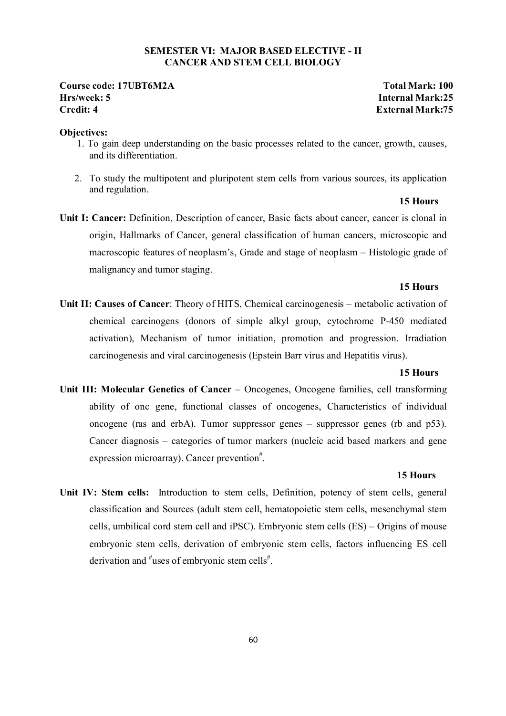#### **SEMESTER VI: MAJOR BASED ELECTIVE - II CANCER AND STEM CELL BIOLOGY**

#### **Course code: 17UBT6M2A Total Mark: 100 Hrs/week: 5 Internal Mark:25 Credit: 4 External Mark:75**

#### **Objectives:**

- 1. To gain deep understanding on the basic processes related to the cancer, growth, causes, and its differentiation.
- 2. To study the multipotent and pluripotent stem cells from various sources, its application and regulation.

### **15 Hours**

**Unit I: Cancer:** Definition, Description of cancer, Basic facts about cancer, cancer is clonal in origin, Hallmarks of Cancer, general classification of human cancers, microscopic and macroscopic features of neoplasm's, Grade and stage of neoplasm – Histologic grade of malignancy and tumor staging.

#### **15 Hours**

**Unit II: Causes of Cancer**: Theory of HITS, Chemical carcinogenesis – metabolic activation of chemical carcinogens (donors of simple alkyl group, cytochrome P-450 mediated activation), Mechanism of tumor initiation, promotion and progression. Irradiation carcinogenesis and viral carcinogenesis (Epstein Barr virus and Hepatitis virus).

#### **15 Hours**

**Unit III: Molecular Genetics of Cancer** – Oncogenes, Oncogene families, cell transforming ability of onc gene, functional classes of oncogenes, Characteristics of individual oncogene (ras and erbA). Tumor suppressor genes – suppressor genes (rb and p53). Cancer diagnosis – categories of tumor markers (nucleic acid based markers and gene expression microarray). Cancer prevention<sup>#</sup>.

#### **15 Hours**

**Unit IV: Stem cells:** Introduction to stem cells, Definition, potency of stem cells, general classification and Sources (adult stem cell, hematopoietic stem cells, mesenchymal stem cells, umbilical cord stem cell and iPSC). Embryonic stem cells (ES) – Origins of mouse embryonic stem cells, derivation of embryonic stem cells, factors influencing ES cell derivation and <sup>#</sup>uses of embryonic stem cells<sup>#</sup>.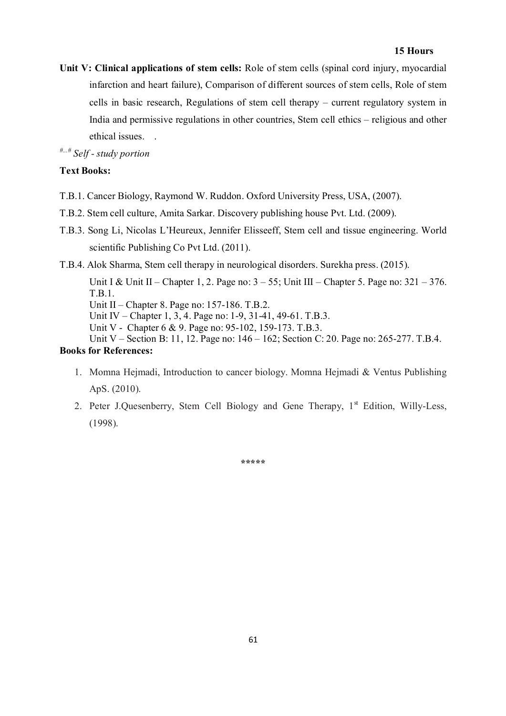**Unit V: Clinical applications of stem cells:** Role of stem cells (spinal cord injury, myocardial infarction and heart failure), Comparison of different sources of stem cells, Role of stem cells in basic research, Regulations of stem cell therapy – current regulatory system in India and permissive regulations in other countries, Stem cell ethics – religious and other ethical issues. .

*#...# Self - study portion* 

### **Text Books:**

- T.B.1. Cancer Biology, Raymond W. Ruddon. Oxford University Press, USA, (2007).
- T.B.2. Stem cell culture, Amita Sarkar. Discovery publishing house Pvt. Ltd. (2009).
- T.B.3. Song Li, Nicolas L'Heureux, Jennifer Elisseeff, Stem cell and tissue engineering. World scientific Publishing Co Pvt Ltd. (2011).
- T.B.4. Alok Sharma, Stem cell therapy in neurological disorders. Surekha press. (2015).

Unit I & Unit II – Chapter 1, 2. Page no:  $3 - 55$ ; Unit III – Chapter 5. Page no:  $321 - 376$ . T.B.1.

Unit II – Chapter 8. Page no: 157-186. T.B.2.

Unit IV – Chapter 1, 3, 4. Page no: 1-9, 31-41, 49-61. T.B.3.

Unit V - Chapter 6 & 9. Page no: 95-102, 159-173. T.B.3.

Unit V – Section B: 11, 12. Page no: 146 – 162; Section C: 20. Page no: 265-277. T.B.4.

### **Books for References:**

- 1. Momna Hejmadi, Introduction to cancer biology. Momna Hejmadi & Ventus Publishing ApS. (2010).
- 2. Peter J.Quesenberry, Stem Cell Biology and Gene Therapy,  $1<sup>st</sup>$  Edition, Willy-Less, (1998).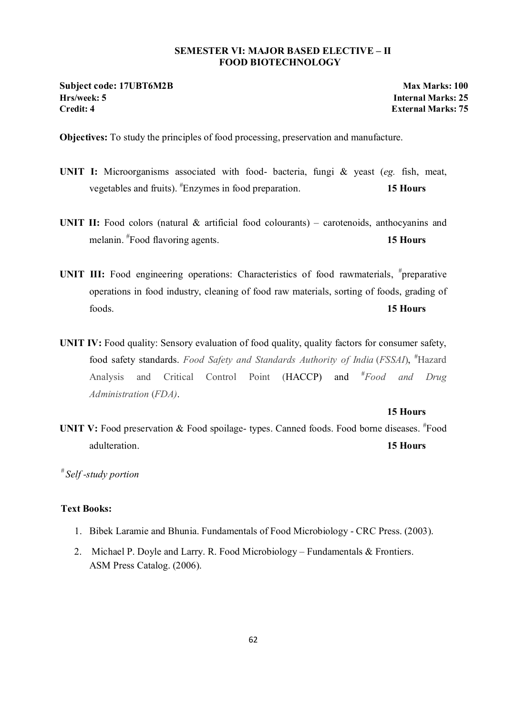#### **SEMESTER VI: MAJOR BASED ELECTIVE – II FOOD BIOTECHNOLOGY**

**Subject code: 17UBT6M2B Max Marks: 100 Hrs/week: 5 Internal Marks: 25**

**External Marks: 75** 

**Objectives:** To study the principles of food processing, preservation and manufacture.

- **UNIT I:** Microorganisms associated with food- bacteria, fungi & yeast (*eg.* fish, meat, vegetables and fruits). # Enzymes in food preparation. **15 Hours**
- UNIT II: Food colors (natural & artificial food colourants) carotenoids, anthocyanins and melanin. # Food flavoring agents. **15 Hours**
- UNIT III: Food engineering operations: Characteristics of food rawmaterials, <sup>#</sup>preparative operations in food industry, cleaning of food raw materials, sorting of foods, grading of foods. **15 Hours**
- **UNIT IV:** Food quality: Sensory evaluation of food quality, quality factors for consumer safety, food safety standards. *Food Safety and Standards Authority of India* (*FSSAI*), # Hazard Analysis and Critical Control Point (HACCP) and # *Food and Drug Administration* (*FDA)*.

#### **15 Hours**

UNIT V: Food preservation & Food spoilage- types. Canned foods. Food borne diseases. <sup>#</sup>Food adulteration. **15 Hours**

*# Self -study portion*

#### **Text Books:**

- 1. Bibek Laramie and Bhunia. Fundamentals of Food Microbiology CRC Press. (2003).
- 2. Michael P. Doyle and Larry. R. Food Microbiology Fundamentals & Frontiers. ASM Press Catalog. (2006).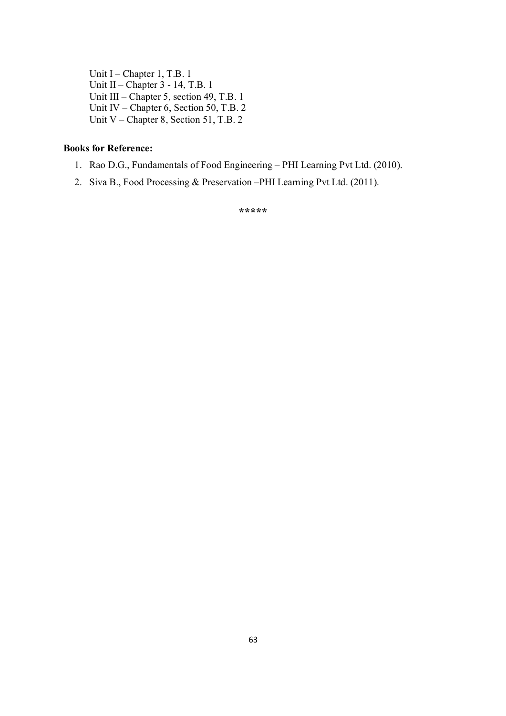Unit I – Chapter 1, T.B. 1 Unit II – Chapter 3 - 14, T.B. 1 Unit III – Chapter 5, section 49, T.B. 1 Unit IV – Chapter 6, Section 50, T.B. 2 Unit V – Chapter 8, Section 51, T.B. 2

### **Books for Reference:**

- 1. Rao D.G., Fundamentals of Food Engineering PHI Learning Pvt Ltd. (2010).
- 2. Siva B., Food Processing & Preservation –PHI Learning Pvt Ltd. (2011).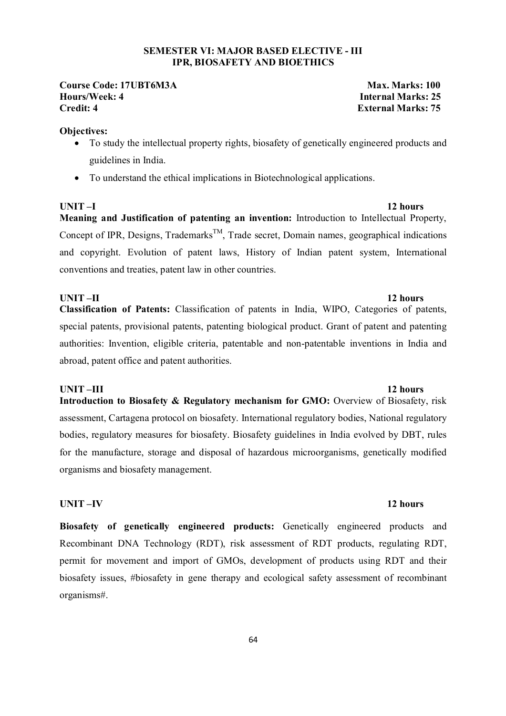#### **SEMESTER VI: MAJOR BASED ELECTIVE - III IPR, BIOSAFETY AND BIOETHICS**

# **Course Code: 17UBT6M3A** Max. Marks: 100 **Hours/Week: 4**<br>Credit: 4 **Internal Marks: 25**

**External Marks: 75** 

#### **Objectives:**

- To study the intellectual property rights, biosafety of genetically engineered products and guidelines in India.
- To understand the ethical implications in Biotechnological applications.

**UNIT –I 12 hours** 

**Meaning and Justification of patenting an invention:** Introduction to Intellectual Property, Concept of IPR, Designs, Trademarks<sup>TM</sup>, Trade secret, Domain names, geographical indications and copyright. Evolution of patent laws, History of Indian patent system, International conventions and treaties, patent law in other countries.

#### **UNIT –II** 12 hours

**Classification of Patents:** Classification of patents in India, WIPO, Categories of patents, special patents, provisional patents, patenting biological product. Grant of patent and patenting authorities: Invention, eligible criteria, patentable and non-patentable inventions in India and abroad, patent office and patent authorities.

#### **UNIT –III** 12 hours

**Introduction to Biosafety & Regulatory mechanism for GMO:** Overview of Biosafety, risk assessment, Cartagena protocol on biosafety. International regulatory bodies, National regulatory bodies, regulatory measures for biosafety. Biosafety guidelines in India evolved by DBT, rules for the manufacture, storage and disposal of hazardous microorganisms, genetically modified organisms and biosafety management.

#### **UNIT –IV 12 hours**

**Biosafety of genetically engineered products:** Genetically engineered products and Recombinant DNA Technology (RDT), risk assessment of RDT products, regulating RDT, permit for movement and import of GMOs, development of products using RDT and their biosafety issues, #biosafety in gene therapy and ecological safety assessment of recombinant organisms#.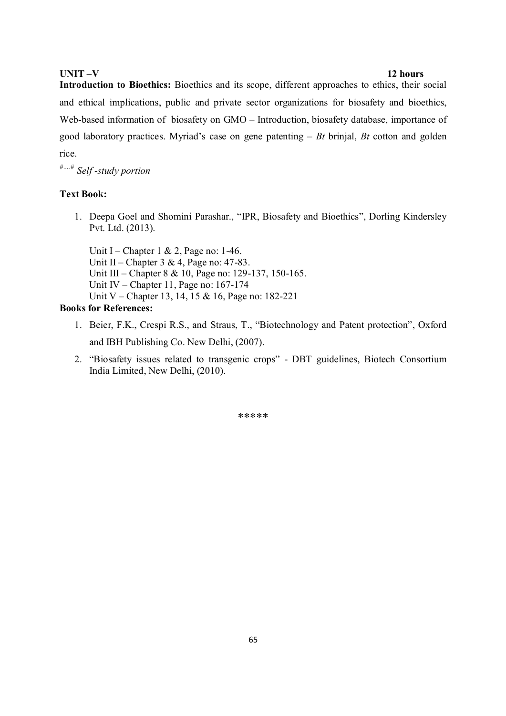#### **UNIT –V 12 hours**

**Introduction to Bioethics:** Bioethics and its scope, different approaches to ethics, their social and ethical implications, public and private sector organizations for biosafety and bioethics, Web-based information of biosafety on GMO – Introduction, biosafety database, importance of good laboratory practices. Myriad's case on gene patenting – *Bt* brinjal, *Bt* cotton and golden rice.

*#….# Self -study portion*

#### **Text Book:**

1. Deepa Goel and Shomini Parashar., "IPR, Biosafety and Bioethics", Dorling Kindersley Pvt. Ltd. (2013).

Unit I – Chapter 1 & 2, Page no: 1-46. Unit II – Chapter 3 & 4, Page no: 47-83. Unit III – Chapter 8 & 10, Page no: 129-137, 150-165. Unit IV – Chapter 11, Page no: 167-174 Unit V – Chapter 13, 14, 15 & 16, Page no: 182-221

#### **Books for References:**

- 1. Beier, F.K., Crespi R.S., and Straus, T., "Biotechnology and Patent protection", Oxford and IBH Publishing Co. New Delhi, (2007).
- 2. "Biosafety issues related to transgenic crops" DBT guidelines, Biotech Consortium India Limited, New Delhi, (2010).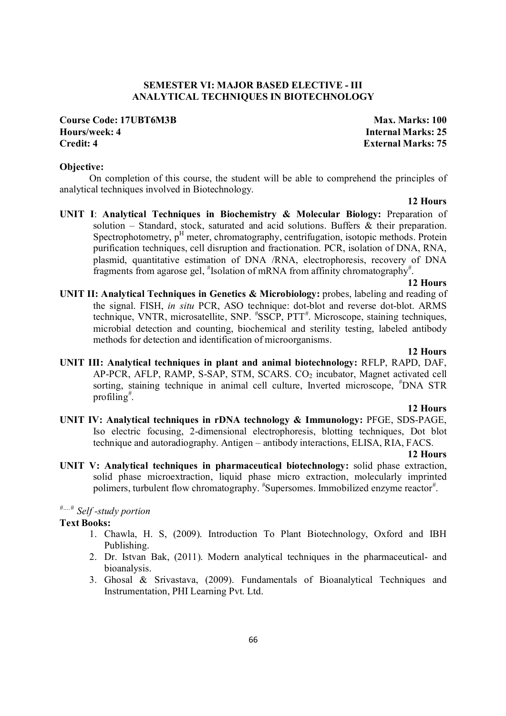#### **SEMESTER VI: MAJOR BASED ELECTIVE - III ANALYTICAL TECHNIQUES IN BIOTECHNOLOGY**

### **Course Code: 17UBT6M3B Max. Marks: 100 Hours/week: 4 Internal Marks: 25 Credit: 4 External Marks: 75**

#### **Objective:**

 On completion of this course, the student will be able to comprehend the principles of analytical techniques involved in Biotechnology.

#### **12 Hours**

**UNIT I**: **Analytical Techniques in Biochemistry & Molecular Biology:** Preparation of solution – Standard, stock, saturated and acid solutions. Buffers & their preparation. Spectrophotometry, p<sup>H</sup> meter, chromatography, centrifugation, isotopic methods. Protein purification techniques, cell disruption and fractionation. PCR, isolation of DNA, RNA, plasmid, quantitative estimation of DNA /RNA, electrophoresis, recovery of DNA fragments from agarose gel, *#* Isolation of mRNA from affinity chromatography*#* .

#### **12 Hours**

**UNIT II: Analytical Techniques in Genetics & Microbiology:** probes, labeling and reading of the signal. FISH, *in situ* PCR, ASO technique: dot-blot and reverse dot-blot. ARMS technique, VNTR, microsatellite, SNP. *#* SSCP, PTT*#* . Microscope, staining techniques, microbial detection and counting, biochemical and sterility testing, labeled antibody methods for detection and identification of microorganisms.

#### **12 Hours**

**UNIT III: Analytical techniques in plant and animal biotechnology:** RFLP, RAPD, DAF, AP-PCR, AFLP, RAMP, S-SAP, STM, SCARS. CO<sub>2</sub> incubator, Magnet activated cell sorting, staining technique in animal cell culture, Inverted microscope, *#* DNA STR profiling*#* .

#### **12 Hours**

**UNIT IV: Analytical techniques in rDNA technology & Immunology:** PFGE, SDS-PAGE, Iso electric focusing, 2-dimensional electrophoresis, blotting techniques, Dot blot technique and autoradiography. Antigen – antibody interactions, ELISA, RIA, FACS.

#### **12 Hours**

**UNIT V: Analytical techniques in pharmaceutical biotechnology:** solid phase extraction, solid phase microextraction, liquid phase micro extraction, molecularly imprinted polimers, turbulent flow chromatography. *#* Supersomes. Immobilized enzyme reactor*#* .

### *#….# Self -study portion*

#### **Text Books:**

- 1. Chawla, H. S, (2009). Introduction To Plant Biotechnology, Oxford and IBH Publishing.
- 2. Dr. Istvan Bak, (2011). Modern analytical techniques in the pharmaceutical- and bioanalysis.
- 3. Ghosal & Srivastava, (2009). Fundamentals of Bioanalytical Techniques and Instrumentation, PHI Learning Pvt. Ltd.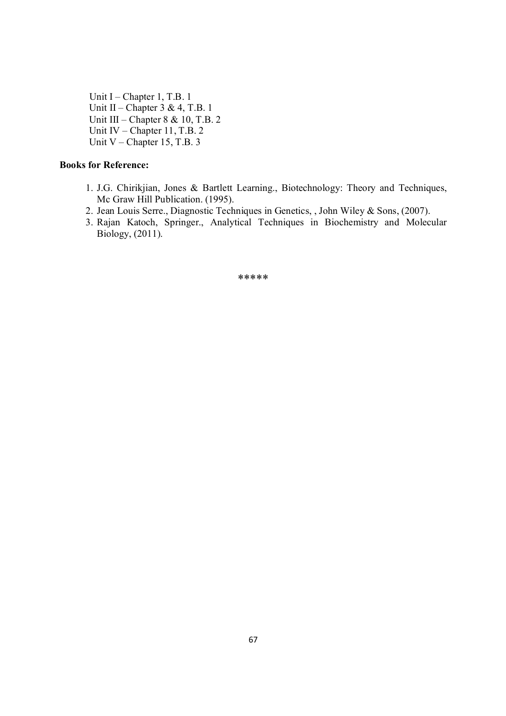Unit I – Chapter 1, T.B. 1 Unit II – Chapter  $3 \& 4$ , T.B. 1 Unit III – Chapter 8 & 10, T.B. 2 Unit IV – Chapter 11, T.B. 2 Unit V – Chapter 15, T.B. 3

#### **Books for Reference:**

- 1. J.G. Chirikjian, Jones & Bartlett Learning., Biotechnology: Theory and Techniques, Mc Graw Hill Publication. (1995).
- 2. Jean Louis Serre., Diagnostic Techniques in Genetics, , John Wiley & Sons, (2007).
- 3. Rajan Katoch, Springer., Analytical Techniques in Biochemistry and Molecular Biology, (2011).